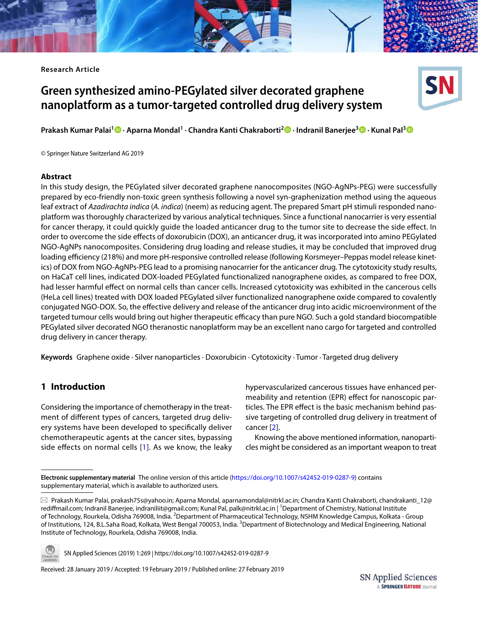**Research Article**

# **Green synthesized amino‑PEGylated silver decorated graphene nanoplatform as a tumor‑targeted controlled drug delivery system**



**Prakash Kumar Palai<sup>1</sup> · Aparna Mondal<sup>1</sup> · Chandra Kanti Chakraborti<sup>2</sup>  [·](http://orcid.org/0000-0002-9903-7422) Indranil Banerjee<sup>3</sup> · Kunal Pal[3](http://orcid.org/0000-0002-4618-8809)**

© Springer Nature Switzerland AG 2019

#### **Abstract**

In this study design, the PEGylated silver decorated graphene nanocomposites (NGO-AgNPs-PEG) were successfully prepared by eco-friendly non-toxic green synthesis following a novel syn-graphenization method using the aqueous leaf extract of Azadirachta indica (A. indica) (neem) as reducing agent. The prepared Smart pH stimuli responded nanoplatform was thoroughly characterized by various analytical techniques. Since a functional nanocarrier is very essential for cancer therapy, it could quickly guide the loaded anticancer drug to the tumor site to decrease the side effect. In order to overcome the side effects of doxorubicin (DOX), an anticancer drug, it was incorporated into amino PEGylated NGO-AgNPs nanocomposites. Considering drug loading and release studies, it may be concluded that improved drug loading efficiency (218%) and more pH-responsive controlled release (following Korsmeyer–Peppas model release kinetics) of DOX from NGO-AgNPs-PEG lead to a promising nanocarrier for the anticancer drug. The cytotoxicity study results, on HaCaT cell lines, indicated DOX-loaded PEGylated functionalized nanographene oxides, as compared to free DOX, had lesser harmful effect on normal cells than cancer cells. Increased cytotoxicity was exhibited in the cancerous cells (HeLa cell lines) treated with DOX loaded PEGylated silver functionalized nanographene oxide compared to covalently conjugated NGO-DOX. So, the effective delivery and release of the anticancer drug into acidic microenvironment of the targeted tumour cells would bring out higher therapeutic efficacy than pure NGO. Such a gold standard biocompatible PEGylated silver decorated NGO theranostic nanoplatform may be an excellent nano cargo for targeted and controlled drug delivery in cancer therapy.

**Keywords** Graphene oxide · Silver nanoparticles · Doxorubicin · Cytotoxicity · Tumor · Targeted drug delivery

# **1 Introduction**

Considering the importance of chemotherapy in the treatment of different types of cancers, targeted drug delivery systems have been developed to specifically deliver chemotherapeutic agents at the cancer sites, bypassing side effects on normal cells [\[1\]](#page-15-0). As we know, the leaky hypervascularized cancerous tissues have enhanced permeability and retention (EPR) effect for nanoscopic particles. The EPR effect is the basic mechanism behind passive targeting of controlled drug delivery in treatment of cancer [[2](#page-15-1)].

Knowing the above mentioned information, nanoparticles might be considered as an important weapon to treat

 $\boxtimes$  Prakash Kumar Palai, prakash75s@yahoo.in; Aparna Mondal, aparnamondal@nitrkl.ac.in; Chandra Kanti Chakraborti, chandrakanti\_12@ rediffmail.com; Indranil Banerjee, indraniliit@gmail.com; Kunal Pal, palk@nitrkl.ac.in | <sup>1</sup>Department of Chemistry, National Institute of Technology, Rourkela, Odisha 769008, India. <sup>2</sup>Department of Pharmaceutical Technology, NSHM Knowledge Campus, Kolkata - Group of Institutions, 124, B.L.Saha Road, Kolkata, West Bengal 700053, India. <sup>3</sup>Department of Biotechnology and Medical Engineering, National Institute of Technology, Rourkela, Odisha 769008, India.



SN Applied Sciences (2019) 1:269 | https://doi.org/10.1007/s42452-019-0287-9

Electronic supplementary material The online version of this article (https://doi.org/10.1007/s42452-019-0287-9) contains supplementary material, which is available to authorized users.

Received: 28 January 2019 / Accepted: 19 February 2019 / Published online: 27 February 2019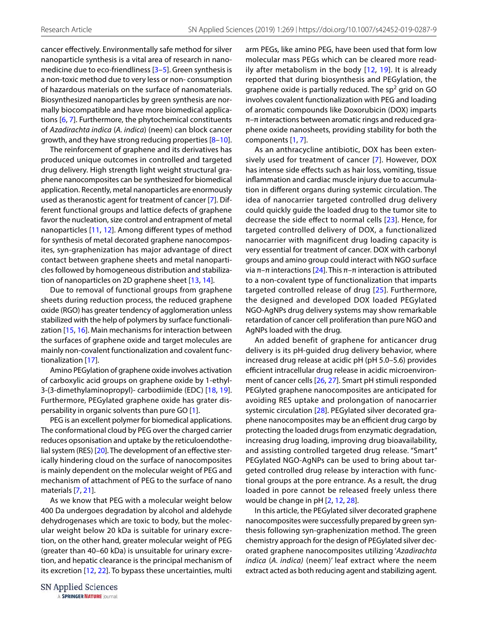cancer effectively. Environmentally safe method for silver nanoparticle synthesis is a vital area of research in nano-medicine due to eco-friendliness [3-[5\]](#page-15-3). Green synthesis is a non-toxic method due to very less or non- consumption of hazardous materials on the surface of nanomaterials. Biosynthesized nanoparticles by green synthesis are normally biocompatible and have more biomedical applications [[6](#page-15-4), [7\]](#page-15-5). Furthermore, the phytochemical constituents of Azadirachta indica (A. indica) (neem) can block cancer growth, and they have strong reducing properties [[8–](#page-15-6)[10](#page-15-7)].

The reinforcement of graphene and its derivatives has produced unique outcomes in controlled and targeted drug delivery. High strength light weight structural graphene nanocomposites can be synthesized for biomedical application. Recently, metal nanoparticles are enormously used as theranostic agent for treatment of cancer [[7\]](#page-15-5). Different functional groups and lattice defects of graphene favor the nucleation, size control and entrapment of metal nanoparticles [[11](#page-15-8), [12](#page-15-9)]. Among different types of method for synthesis of metal decorated graphene nanocomposites, syn-graphenization has major advantage of direct contact between graphene sheets and metal nanoparticles followed by homogeneous distribution and stabilization of nanoparticles on 2D graphene sheet [[13](#page-15-10), [14\]](#page-15-11).

Due to removal of functional groups from graphene sheets during reduction process, the reduced graphene oxide (RGO) has greater tendency of agglomeration unless stabilized with the help of polymers by surface functionalization [[15](#page-15-12), [16](#page-15-13)]. Main mechanisms for interaction between the surfaces of graphene oxide and target molecules are mainly non-covalent functionalization and covalent functionalization [\[17\]](#page-15-14).

Amino PEGylation of graphene oxide involves activation of carboxylic acid groups on graphene oxide by 1-ethyl-3-(3-dimethylaminopropyl)- carbodiimide (EDC) [[18](#page-15-15), [19](#page-15-16)]. Furthermore, PEGylated graphene oxide has grater dispersability in organic solvents than pure GO [\[1](#page-15-0)].

PEG is an excellent polymer for biomedical applications. The conformational cloud by PEG over the charged carrier reduces opsonisation and uptake by the reticuloendothe-lial system (RES) [[20\]](#page-15-17). The development of an effective sterically hindering cloud on the surface of nanocomposites is mainly dependent on the molecular weight of PEG and mechanism of attachment of PEG to the surface of nano materials [[7,](#page-15-5) [21](#page-15-18)].

As we know that PEG with a molecular weight below 400 Da undergoes degradation by alcohol and aldehyde dehydrogenases which are toxic to body, but the molecular weight below 20 kDa is suitable for urinary excretion, on the other hand, greater molecular weight of PEG (greater than 40–60 kDa) is unsuitable for urinary excretion, and hepatic clearance is the principal mechanism of its excretion [\[12,](#page-15-9) [22](#page-15-19)]. To bypass these uncertainties, multi arm PEGs, like amino PEG, have been used that form low molecular mass PEGs which can be cleared more readily after metabolism in the body [[12,](#page-15-9) [19\]](#page-15-16). It is already reported that during biosynthesis and PEGylation, the graphene oxide is partially reduced. The sp<sup>2</sup> grid on GO involves covalent functionalization with PEG and loading of aromatic compounds like Doxorubicin (DOX) imparts  $\pi$ – $\pi$  interactions between aromatic rings and reduced graphene oxide nanosheets, providing stability for both the components [\[1](#page-15-0), [7\]](#page-15-5).

As an anthracycline antibiotic, DOX has been extensively used for treatment of cancer [[7\]](#page-15-5). However, DOX has intense side effects such as hair loss, vomiting, tissue inflammation and cardiac muscle injury due to accumulation in different organs during systemic circulation. The idea of nanocarrier targeted controlled drug delivery could quickly guide the loaded drug to the tumor site to decrease the side effect to normal cells [[23](#page-15-20)]. Hence, for targeted controlled delivery of DOX, a functionalized nanocarrier with magnificent drug loading capacity is very essential for treatment of cancer. DOX with carbonyl groups and amino group could interact with NGO surface via  $π$ –π interactions [[24\]](#page-15-21). This  $π$ –π interaction is attributed to a non-covalent type of functionalization that imparts targeted controlled release of drug [[25\]](#page-15-22). Furthermore, the designed and developed DOX loaded PEGylated NGO-AgNPs drug delivery systems may show remarkable retardation of cancer cell proliferation than pure NGO and AgNPs loaded with the drug.

An added benefit of graphene for anticancer drug delivery is its pH-guided drug delivery behavior, where increased drug release at acidic pH (pH 5.0–5.6) provides efficient intracellular drug release in acidic microenvironment of cancer cells [\[26,](#page-15-23) [27](#page-15-24)]. Smart pH stimuli responded PEGlyted graphene nanocomposites are anticipated for avoiding RES uptake and prolongation of nanocarrier systemic circulation [[28](#page-15-25)]. PEGylated silver decorated graphene nanocomposites may be an efficient drug cargo by protecting the loaded drugs from enzymatic degradation, increasing drug loading, improving drug bioavailability, and assisting controlled targeted drug release. "Smart" PEGylated NGO-AgNPs can be used to bring about targeted controlled drug release by interaction with functional groups at the pore entrance. As a result, the drug loaded in pore cannot be released freely unless there would be change in pH [\[2](#page-15-1), [12,](#page-15-9) [28](#page-15-25)].

In this article, the PEGylated silver decorated graphene nanocomposites were successfully prepared by green synthesis following syn-graphenization method. The green chemistry approach for the design of PEGylated silver decorated graphene nanocomposites utilizing 'Azadirachta indica (A. indica) (neem)' leaf extract where the neem extract acted as both reducing agent and stabilizing agent.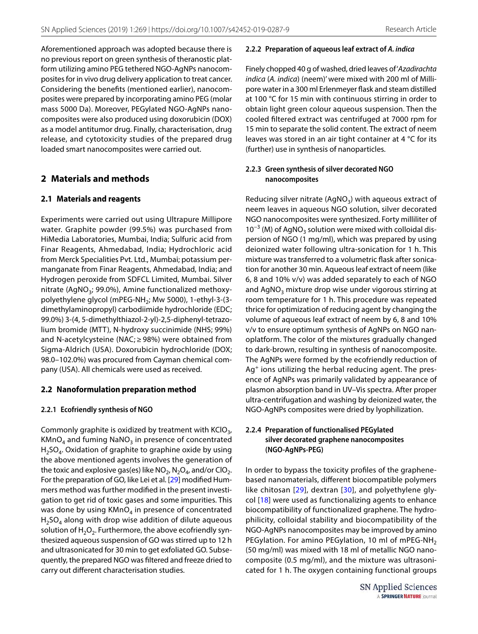Aforementioned approach was adopted because there is no previous report on green synthesis of theranostic platform utilizing amino PEG tethered NGO-AgNPs nanocomposites for in vivo drug delivery application to treat cancer. Considering the benefits (mentioned earlier), nanocomposites were prepared by incorporating amino PEG (molar mass 5000 Da). Moreover, PEGylated NGO-AgNPs nanocomposites were also produced using doxorubicin (DOX) as a model antitumor drug. Finally, characterisation, drug release, and cytotoxicity studies of the prepared drug loaded smart nanocomposites were carried out.

# **2 Materials and methods**

### **2.1 Materials and reagents**

Experiments were carried out using Ultrapure Millipore water. Graphite powder (99.5%) was purchased from HiMedia Laboratories, Mumbai, India; Sulfuric acid from Finar Reagents, Ahmedabad, India; Hydrochloric acid from Merck Specialities Pvt. Ltd., Mumbai; potassium permanganate from Finar Reagents, Ahmedabad, India; and Hydrogen peroxide from SDFCL Limited, Mumbai. Silver nitrate (AgNO<sub>3</sub>; 99.0%), Amine functionalized methoxypolyethylene glycol (mPEG-NH<sub>2</sub>; Mw 5000), 1-ethyl-3-(3dimethylaminopropyl) carbodiimide hydrochloride (EDC; 99.0%) 3-(4, 5-dimethylthiazol-2-yl)-2,5-diphenyl-tetrazolium bromide (MTT), N-hydroxy succinimide (NHS; 99%) and N-acetylcysteine (NAC; ≥ 98%) were obtained from Sigma-Aldrich (USA). Doxorubicin hydrochloride (DOX; 98.0–102.0%) was procured from Cayman chemical company (USA). All chemicals were used as received.

### **2.2 Nanoformulation preparation method**

### **2.2.1 Ecofriendly synthesis of NGO**

Commonly graphite is oxidized by treatment with KClO<sub>3</sub>, KMnO<sub>4</sub> and fuming NaNO<sub>3</sub> in presence of concentrated  $H_2$ SO<sub>4</sub>. Oxidation of graphite to graphine oxide by using the above mentioned agents involves the generation of the toxic and explosive gas(es) like NO<sub>2</sub>, N<sub>2</sub>O<sub>4</sub>, and/or ClO<sub>2</sub>. For the preparation of GO, like Lei et al. [\[29](#page-15-26)] modified Hummers method was further modified in the present investigation to get rid of toxic gases and some impurities. This was done by using  $KMnO_4$  in presence of concentrated  $H<sub>2</sub>SO<sub>4</sub>$  along with drop wise addition of dilute aqueous solution of  $\mathsf{H}_2\mathsf{O}_2$ . Furthermore, the above ecofriendly synthesized aqueous suspension of GO was stirred up to 12 h and ultrasonicated for 30 min to get exfoliated GO. Subsequently, the prepared NGO was filtered and freeze dried to carry out different characterisation studies.

#### **2.2.2 Preparation of aqueous leaf extract of A. indica**

Finely chopped 40 g of washed, dried leaves of 'Azadirachta indica (A. indica) (neem)' were mixed with 200 ml of Millipore water in a 300 ml Erlenmeyer flask and steam distilled at 100 °C for 15 min with continuous stirring in order to obtain light green colour aqueous suspension. Then the cooled filtered extract was centrifuged at 7000 rpm for 15 min to separate the solid content. The extract of neem leaves was stored in an air tight container at 4 °C for its (further) use in synthesis of nanoparticles.

# **2.2.3 Green synthesis of silver decorated NGO nanocomposites**

Reducing silver nitrate (AgNO<sub>3</sub>) with aqueous extract of neem leaves in aqueous NGO solution, silver decorated NGO nanocomposites were synthesized. Forty milliliter of  $10^{-3}$  (M) of AgNO<sub>3</sub> solution were mixed with colloidal dispersion of NGO (1 mg/ml), which was prepared by using deionized water following ultra-sonication for 1 h. This mixture was transferred to a volumetric flask after sonication for another 30 min. Aqueous leaf extract of neem (like 6, 8 and 10% v/v) was added separately to each of NGO and AgNO<sub>3</sub> mixture drop wise under vigorous stirring at room temperature for 1 h. This procedure was repeated thrice for optimization of reducing agent by changing the volume of aqueous leaf extract of neem by 6, 8 and 10% v/v to ensure optimum synthesis of AgNPs on NGO nanoplatform. The color of the mixtures gradually changed to dark-brown, resulting in synthesis of nanocomposite. The AgNPs were formed by the ecofriendly reduction of Ag<sup>+</sup> ions utilizing the herbal reducing agent. The presence of AgNPs was primarily validated by appearance of plasmon absorption band in UV–Vis spectra. After proper ultra-centrifugation and washing by deionized water, the NGO-AgNPs composites were dried by lyophilization.

## **2.2.4 Preparation of functionalised PEGylated silver decorated graphene nanocomposites (NGO‑AgNPs‑PEG)**

In order to bypass the toxicity profiles of the graphenebased nanomaterials, different biocompatible polymers like chitosan [\[29](#page-15-26)], dextran [[30\]](#page-15-27), and polyethylene glycol [\[18\]](#page-15-15) were used as functionalizing agents to enhance biocompatibility of functionalized graphene. The hydrophilicity, colloidal stability and biocompatibility of the NGO-AgNPs nanocomposites may be improved by amino PEGylation. For amino PEGylation, 10 ml of mPEG-NH<sub>2</sub> (50 mg/ml) was mixed with 18 ml of metallic NGO nanocomposite (0.5 mg/ml), and the mixture was ultrasonicated for 1 h. The oxygen containing functional groups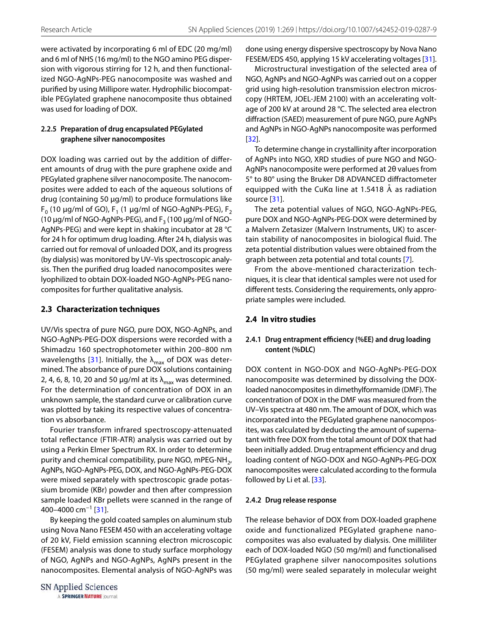were activated by incorporating 6 ml of EDC (20 mg/ml) and 6 ml of NHS (16 mg/ml) to the NGO amino PEG dispersion with vigorous stirring for 12 h, and then functionalized NGO-AgNPs-PEG nanocomposite was washed and purified by using Millipore water. Hydrophilic biocompatible PEGylated graphene nanocomposite thus obtained was used for loading of DOX.

# **2.2.5 Preparation of drug encapsulated PEGylated graphene silver nanocomposites**

DOX loading was carried out by the addition of different amounts of drug with the pure graphene oxide and PEGylated graphene silver nanocomposite. The nanocomposites were added to each of the aqueous solutions of drug (containing 50 μg/ml) to produce formulations like  $\mathsf{F}_0$  (10  $\mu$ g/ml of GO),  $\mathsf{F}_1$  (1  $\mu$ g/ml of NGO-AgNPs-PEG),  $\mathsf{F}_2$ (10  $\mu$ g/ml of NGO-AgNPs-PEG), and  $F_3$  (100  $\mu$ g/ml of NGO-AgNPs-PEG) and were kept in shaking incubator at 28 °C for 24 h for optimum drug loading. After 24 h, dialysis was carried out for removal of unloaded DOX, and its progress (by dialysis) was monitored by UV–Vis spectroscopic analysis. Then the purified drug loaded nanocomposites were lyophilized to obtain DOX-loaded NGO-AgNPs-PEG nanocomposites for further qualitative analysis.

# **2.3 Characterization techniques**

UV/Vis spectra of pure NGO, pure DOX, NGO-AgNPs, and NGO-AgNPs-PEG-DOX dispersions were recorded with a Shimadzu 160 spectrophotometer within 200–800 nm wavelengths [[31\]](#page-15-28). Initially, the  $\lambda_{\text{max}}$  of DOX was determined. The absorbance of pure DOX solutions containing 2, 4, 6, 8, 10, 20 and 50 µg/ml at its  $\lambda_{\text{max}}$  was determined. For the determination of concentration of DOX in an unknown sample, the standard curve or calibration curve was plotted by taking its respective values of concentration vs absorbance.

Fourier transform infrared spectroscopy-attenuated total reflectance (FTIR-ATR) analysis was carried out by using a Perkin Elmer Spectrum RX. In order to determine purity and chemical compatibility, pure NGO, mPEG-NH<sub>2</sub>, AgNPs, NGO-AgNPs-PEG, DOX, and NGO-AgNPs-PEG-DOX were mixed separately with spectroscopic grade potassium bromide (KBr) powder and then after compression sample loaded KBr pellets were scanned in the range of 400–4000 cm−1 [[31](#page-15-28)].

By keeping the gold coated samples on aluminum stub using Nova Nano FESEM 450 with an accelerating voltage of 20 kV, Field emission scanning electron microscopic (FESEM) analysis was done to study surface morphology of NGO, AgNPs and NGO-AgNPs, AgNPs present in the nanocomposites. Elemental analysis of NGO-AgNPs was done using energy dispersive spectroscopy by Nova Nano FESEM/EDS 450, applying 15 kV accelerating voltages [\[31](#page-15-28)].

Microstructural investigation of the selected area of NGO, AgNPs and NGO-AgNPs was carried out on a copper grid using high-resolution transmission electron microscopy (HRTEM, JOEL-JEM 2100) with an accelerating voltage of 200 kV at around 28 °C. The selected area electron diffraction (SAED) measurement of pure NGO, pure AgNPs and AgNPs in NGO-AgNPs nanocomposite was performed [[32](#page-16-0)].

To determine change in crystallinity after incorporation of AgNPs into NGO, XRD studies of pure NGO and NGO-AgNPs nanocomposite were performed at 2θ values from 5° to 80° using the Bruker D8 ADVANCED diffractometer equipped with the CuKα line at 1.5418 Å as radiation source [[31](#page-15-28)].

The zeta potential values of NGO, NGO-AgNPs-PEG, pure DOX and NGO-AgNPs-PEG-DOX were determined by a Malvern Zetasizer (Malvern Instruments, UK) to ascertain stability of nanocomposites in biological fluid. The zeta potential distribution values were obtained from the graph between zeta potential and total counts [\[7\]](#page-15-5).

From the above-mentioned characterization techniques, it is clear that identical samples were not used for different tests. Considering the requirements, only appropriate samples were included.

# **2.4 In vitro studies**

# **2.4.1 Drug entrapment efficiency (%EE) and drug loading content (%DLC)**

DOX content in NGO-DOX and NGO-AgNPs-PEG-DOX nanocomposite was determined by dissolving the DOXloaded nanocomposites in dimethylformamide (DMF). The concentration of DOX in the DMF was measured from the UV–Vis spectra at 480 nm. The amount of DOX, which was incorporated into the PEGylated graphene nanocomposites, was calculated by deducting the amount of supernatant with free DOX from the total amount of DOX that had been initially added. Drug entrapment efficiency and drug loading content of NGO-DOX and NGO-AgNPs-PEG-DOX nanocomposites were calculated according to the formula followed by Li et al. [\[33\]](#page-16-1).

# **2.4.2 Drug release response**

The release behavior of DOX from DOX-loaded graphene oxide and functionalized PEGylated graphene nanocomposites was also evaluated by dialysis. One milliliter each of DOX-loaded NGO (50 mg/ml) and functionalised PEGylated graphene silver nanocomposites solutions (50 mg/ml) were sealed separately in molecular weight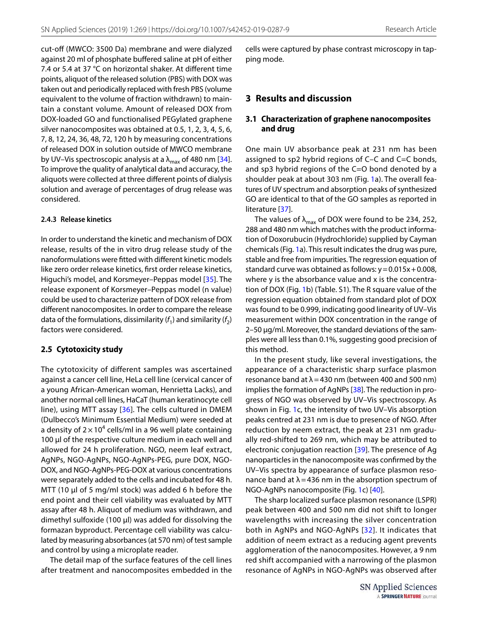cut-off (MWCO: 3500 Da) membrane and were dialyzed against 20 ml of phosphate buffered saline at pH of either 7.4 or 5.4 at 37 °C on horizontal shaker. At different time points, aliquot of the released solution (PBS) with DOX was taken out and periodically replaced with fresh PBS (volume equivalent to the volume of fraction withdrawn) to maintain a constant volume. Amount of released DOX from DOX-loaded GO and functionalised PEGylated graphene silver nanocomposites was obtained at 0.5, 1, 2, 3, 4, 5, 6, 7, 8, 12, 24, 36, 48, 72, 120 h by measuring concentrations of released DOX in solution outside of MWCO membrane by UV–Vis spectroscopic analysis at a  $\lambda_{\text{max}}$  of 480 nm [[34](#page-16-2)]. To improve the quality of analytical data and accuracy, the aliquots were collected at three different points of dialysis solution and average of percentages of drug release was considered.

#### **2.4.3 Release kinetics**

In order to understand the kinetic and mechanism of DOX release, results of the in vitro drug release study of the nanoformulations were fitted with different kinetic models like zero order release kinetics, first order release kinetics, Higuchi's model, and Korsmeyer–Peppas model [\[35\]](#page-16-3). The release exponent of Korsmeyer–Peppas model (n value) could be used to characterize pattern of DOX release from different nanocomposites. In order to compare the release data of the formulations, dissimilarity  $(f_1)$  and similarity  $(f_2)$ factors were considered.

### **2.5 Cytotoxicity study**

The cytotoxicity of different samples was ascertained against a cancer cell line, HeLa cell line (cervical cancer of a young African-American woman, Henrietta Lacks), and another normal cell lines, HaCaT (human keratinocyte cell line), using MTT assay [[36\]](#page-16-4). The cells cultured in DMEM (Dulbecco's Minimum Essential Medium) were seeded at a density of  $2 \times 10^4$  cells/ml in a 96 well plate containing 100 µl of the respective culture medium in each well and allowed for 24 h proliferation. NGO, neem leaf extract, AgNPs, NGO-AgNPs, NGO-AgNPs-PEG, pure DOX, NGO-DOX, and NGO-AgNPs-PEG-DOX at various concentrations were separately added to the cells and incubated for 48 h. MTT (10 µl of 5 mg/ml stock) was added 6 h before the end point and their cell viability was evaluated by MTT assay after 48 h. Aliquot of medium was withdrawn, and dimethyl sulfoxide (100 µl) was added for dissolving the formazan byproduct. Percentage cell viability was calculated by measuring absorbances (at 570 nm) of test sample and control by using a microplate reader.

The detail map of the surface features of the cell lines after treatment and nanocomposites embedded in the cells were captured by phase contrast microscopy in tapping mode.

# **3 Results and discussion**

#### **3.1 Characterization of graphene nanocomposites and drug**

One main UV absorbance peak at 231 nm has been assigned to sp2 hybrid regions of C–C and C=C bonds, and sp3 hybrid regions of the C=O bond denoted by a shoulder peak at about 303 nm (Fig. [1](#page-5-0)a). The overall features of UV spectrum and absorption peaks of synthesized GO are identical to that of the GO samples as reported in literature [\[37\]](#page-16-5).

The values of  $\lambda_{\text{max}}$  of DOX were found to be 234, 252, 288 and 480 nm which matches with the product information of Doxorubucin (Hydrochloride) supplied by Cayman chemicals (Fig. [1](#page-5-0)a). This result indicates the drug was pure, stable and free from impurities. The regression equation of standard curve was obtained as follows:  $y = 0.015x + 0.008$ , where y is the absorbance value and x is the concentration of DOX (Fig. [1b](#page-5-0)) (Table. S1). The R square value of the regression equation obtained from standard plot of DOX was found to be 0.999, indicating good linearity of UV–Vis measurement within DOX concentration in the range of 2–50 μg/ml. Moreover, the standard deviations of the samples were all less than 0.1%, suggesting good precision of this method.

In the present study, like several investigations, the appearance of a characteristic sharp surface plasmon resonance band at  $\lambda = 430$  nm (between 400 and 500 nm) implies the formation of AgNPs [[38](#page-16-6)]. The reduction in progress of NGO was observed by UV–Vis spectroscopy. As shown in Fig. [1](#page-5-0)c, the intensity of two UV–Vis absorption peaks centred at 231 nm is due to presence of NGO. After reduction by neem extract, the peak at 231 nm gradually red-shifted to 269 nm, which may be attributed to electronic conjugation reaction [[39](#page-16-7)]. The presence of Ag nanoparticles in the nanocomposite was confirmed by the UV–Vis spectra by appearance of surface plasmon resonance band at  $\lambda$  = 436 nm in the absorption spectrum of NGO-AgNPs nanocomposite (Fig. [1c](#page-5-0)) [[40](#page-16-8)].

The sharp localized surface plasmon resonance (LSPR) peak between 400 and 500 nm did not shift to longer wavelengths with increasing the silver concentration both in AgNPs and NGO-AgNPs [[32\]](#page-16-0). It indicates that addition of neem extract as a reducing agent prevents agglomeration of the nanocomposites. However, a 9 nm red shift accompanied with a narrowing of the plasmon resonance of AgNPs in NGO-AgNPs was observed after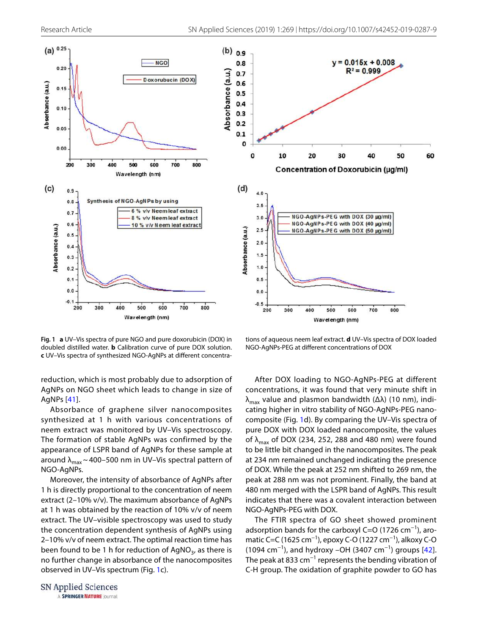



<span id="page-5-0"></span>**Fig. 1 a** UV–Vis spectra of pure NGO and pure doxorubicin (DOX) in doubled distilled water. **b** Calibration curve of pure DOX solution. **c** UV–Vis spectra of synthesized NGO-AgNPs at different concentra-

reduction, which is most probably due to adsorption of AgNPs on NGO sheet which leads to change in size of AgNPs [\[41\]](#page-16-9).

Absorbance of graphene silver nanocomposites synthesized at 1 h with various concentrations of neem extract was monitored by UV–Vis spectroscopy. The formation of stable AgNPs was confirmed by the appearance of LSPR band of AgNPs for these sample at around  $\lambda_{\text{max}}$  ~ 400–500 nm in UV–Vis spectral pattern of NGO-AgNPs.

Moreover, the intensity of absorbance of AgNPs after 1 h is directly proportional to the concentration of neem extract (2–10% v/v). The maximum absorbance of AgNPs at 1 h was obtained by the reaction of 10% v/v of neem extract. The UV–visible spectroscopy was used to study the concentration dependent synthesis of AgNPs using 2–10% v/v of neem extract. The optimal reaction time has been found to be 1 h for reduction of AgNO<sub>3</sub>, as there is no further change in absorbance of the nanocomposites observed in UV–Vis spectrum (Fig. [1](#page-5-0)c).

SN Applied Sciences A SPRINGER NATURE journal

tions of aqueous neem leaf extract. **d** UV–Vis spectra of DOX loaded NGO-AgNPs-PEG at different concentrations of DOX

After DOX loading to NGO-AgNPs-PEG at different concentrations, it was found that very minute shift in  $λ_{max}$  value and plasmon bandwidth (Δλ) (10 nm), indicating higher in vitro stability of NGO-AgNPs-PEG nanocomposite (Fig. [1d](#page-5-0)). By comparing the UV–Vis spectra of pure DOX with DOX loaded nanocomposite, the values of  $λ_{max}$  of DOX (234, 252, 288 and 480 nm) were found to be little bit changed in the nanocomposites. The peak at 234 nm remained unchanged indicating the presence of DOX. While the peak at 252 nm shifted to 269 nm, the peak at 288 nm was not prominent. Finally, the band at 480 nm merged with the LSPR band of AgNPs. This result indicates that there was a covalent interaction between NGO-AgNPs-PEG with DOX.

The FTIR spectra of GO sheet showed prominent adsorption bands for the carboxyl C=O (1726 cm<sup>-1</sup>), aromatic C=C (1625 cm<sup>-1</sup>), epoxy C-O (1227 cm<sup>-1</sup>), alkoxy C-O (1094 cm<sup>-1</sup>), and hydroxy –OH (3407 cm<sup>-1</sup>) groups [[42](#page-16-10)]. The peak at 833 cm<sup>-1</sup> represents the bending vibration of C-H group. The oxidation of graphite powder to GO has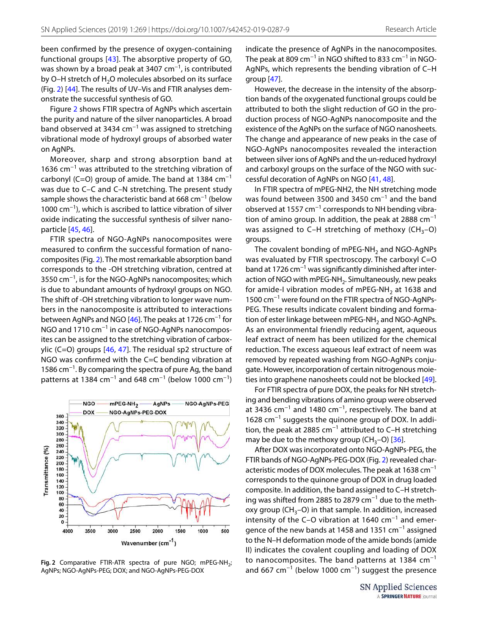been confirmed by the presence of oxygen-containing functional groups [[43](#page-16-11)]. The absorptive property of GO, was shown by a broad peak at 3407 cm<sup>-1</sup>, is contributed by O-H stretch of H<sub>2</sub>O molecules absorbed on its surface (Fig. [2\)](#page-6-0) [[44](#page-16-12)]. The results of UV–Vis and FTIR analyses demonstrate the successful synthesis of GO.

Figure [2](#page-6-0) shows FTIR spectra of AgNPs which ascertain the purity and nature of the silver nanoparticles. A broad band observed at 3434 cm<sup>-1</sup> was assigned to stretching vibrational mode of hydroxyl groups of absorbed water on AgNPs.

Moreover, sharp and strong absorption band at 1636 cm−1 was attributed to the stretching vibration of carbonyl (C=O) group of amide. The band at 1384  $cm^{-1}$ was due to C–C and C–N stretching. The present study sample shows the characteristic band at 668 cm<sup>-1</sup> (below 1000 cm−1), which is ascribed to lattice vibration of silver oxide indicating the successful synthesis of silver nanoparticle [[45](#page-16-13), [46\]](#page-16-14).

FTIR spectra of NGO-AgNPs nanocomposites were measured to confirm the successful formation of nanocomposites (Fig. [2\)](#page-6-0). The most remarkable absorption band corresponds to the -OH stretching vibration, centred at 3550 cm−1, is for the NGO-AgNPs nanocomposites; which is due to abundant amounts of hydroxyl groups on NGO. The shift of -OH stretching vibration to longer wave numbers in the nanocomposite is attributed to interactions between AgNPs and NGO [\[46](#page-16-14)]. The peaks at 1726 cm<sup>-1</sup> for NGO and 1710 cm<sup>-1</sup> in case of NGO-AgNPs nanocomposites can be assigned to the stretching vibration of carboxylic (C=O) groups  $[46, 47]$  $[46, 47]$  $[46, 47]$  $[46, 47]$ . The residual sp2 structure of NGO was confirmed with the C=C bending vibration at 1586 cm<sup>−1</sup>. By comparing the spectra of pure Ag, the band patterns at 1384 cm<sup>-1</sup> and 648 cm<sup>-1</sup> (below 1000 cm<sup>-1</sup>)



<span id="page-6-0"></span>**Fig. 2** Comparative FTIR-ATR spectra of pure NGO; mPEG-NH<sub>2</sub>; AgNPs; NGO-AgNPs-PEG; DOX; and NGO-AgNPs-PEG-DOX

indicate the presence of AgNPs in the nanocomposites. The peak at 809 cm<sup>-1</sup> in NGO shifted to 833 cm<sup>-1</sup> in NGO-AgNPs, which represents the bending vibration of C–H group [[47](#page-16-15)].

However, the decrease in the intensity of the absorption bands of the oxygenated functional groups could be attributed to both the slight reduction of GO in the production process of NGO-AgNPs nanocomposite and the existence of the AgNPs on the surface of NGO nanosheets. The change and appearance of new peaks in the case of NGO-AgNPs nanocomposites revealed the interaction between silver ions of AgNPs and the un-reduced hydroxyl and carboxyl groups on the surface of the NGO with successful decoration of AgNPs on NGO [[41,](#page-16-9) [48](#page-16-16)].

In FTIR spectra of mPEG-NH2, the NH stretching mode was found between 3500 and 3450 cm<sup>-1</sup> and the band observed at 1557 cm−1 corresponds to NH bending vibration of amino group. In addition, the peak at 2888 cm<sup>-1</sup> was assigned to C–H stretching of methoxy ( $CH<sub>3</sub>$ –O) groups.

The covalent bonding of mPEG-NH<sub>2</sub> and NGO-AgNPs was evaluated by FTIR spectroscopy. The carboxyl C=O band at 1726 cm−1 was significantly diminished after interaction of NGO with mPEG-NH<sub>2</sub>. Simultaneously, new peaks for amide-I vibration modes of mPEG-NH<sub>2</sub> at 1638 and 1500 cm−1 were found on the FTIR spectra of NGO-AgNPs-PEG. These results indicate covalent binding and formation of ester linkage between mPEG-NH<sub>2</sub> and NGO-AgNPs. As an environmental friendly reducing agent, aqueous leaf extract of neem has been utilized for the chemical reduction. The excess aqueous leaf extract of neem was removed by repeated washing from NGO-AgNPs conjugate. However, incorporation of certain nitrogenous moieties into graphene nanosheets could not be blocked [[49](#page-16-17)].

For FTIR spectra of pure DOX, the peaks for NH stretching and bending vibrations of amino group were observed at 3436  $cm^{-1}$  and 1480  $cm^{-1}$ , respectively. The band at 1628 cm−1 suggests the quinone group of DOX. In addition, the peak at 2885  $cm^{-1}$  attributed to C–H stretching may be due to the methoxy group (CH<sub>3</sub>–O) [[36](#page-16-4)].

After DOX was incorporated onto NGO-AgNPs-PEG, the FTIR bands of NGO-AgNPs-PEG-DOX (Fig. [2](#page-6-0)) revealed characteristic modes of DOX molecules. The peak at 1638  $cm^{-1}$ corresponds to the quinone group of DOX in drug loaded composite. In addition, the band assigned to C–H stretching was shifted from 2885 to 2879  $cm^{-1}$  due to the methoxy group ( $CH<sub>3</sub>-O$ ) in that sample. In addition, increased intensity of the C–O vibration at 1640 cm−1 and emergence of the new bands at 1458 and 1351 cm−1 assigned to the N–H deformation mode of the amide bonds (amide II) indicates the covalent coupling and loading of DOX to nanocomposites. The band patterns at 1384  $cm^{-1}$ and 667 cm<sup>-1</sup> (below 1000 cm<sup>-1</sup>) suggest the presence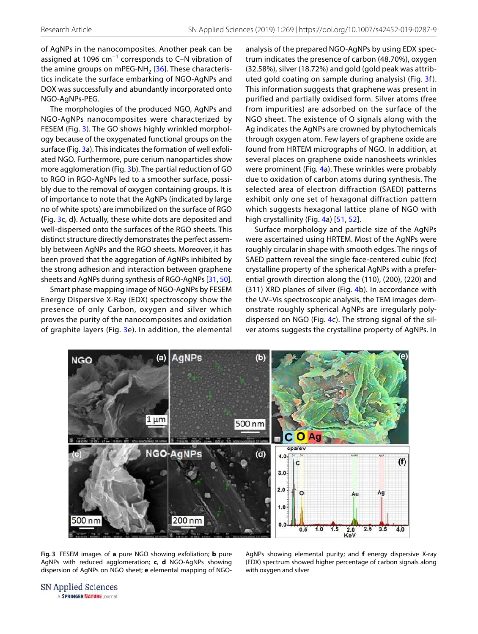of AgNPs in the nanocomposites. Another peak can be assigned at 1096 cm−1 corresponds to C–N vibration of the amine groups on mPEG-NH<sub>2</sub> [\[36\]](#page-16-4). These characteristics indicate the surface embarking of NGO-AgNPs and DOX was successfully and abundantly incorporated onto NGO-AgNPs-PEG.

The morphologies of the produced NGO, AgNPs and NGO-AgNPs nanocomposites were characterized by FESEM (Fig. [3\)](#page-7-0). The GO shows highly wrinkled morphology because of the oxygenated functional groups on the surface (Fig. [3](#page-7-0)a). This indicates the formation of well exfoliated NGO. Furthermore, pure cerium nanoparticles show more agglomeration (Fig. [3b](#page-7-0)). The partial reduction of GO to RGO in RGO-AgNPs led to a smoother surface, possibly due to the removal of oxygen containing groups. It is of importance to note that the AgNPs (indicated by large no of white spots) are immobilized on the surface of RGO **(**Fig. [3c](#page-7-0), d**)**. Actually, these white dots are deposited and well-dispersed onto the surfaces of the RGO sheets. This distinct structure directly demonstrates the perfect assembly between AgNPs and the RGO sheets. Moreover, it has been proved that the aggregation of AgNPs inhibited by the strong adhesion and interaction between graphene sheets and AgNPs during synthesis of RGO-AgNPs [[31](#page-15-28), [50](#page-16-18)].

Smart phase mapping image of NGO-AgNPs by FESEM Energy Dispersive X-Ray (EDX) spectroscopy show the presence of only Carbon, oxygen and silver which proves the purity of the nanocomposites and oxidation of graphite layers (Fig. [3](#page-7-0)e). In addition, the elemental analysis of the prepared NGO-AgNPs by using EDX spectrum indicates the presence of carbon (48.70%), oxygen (32.58%), silver (18.72%) and gold (gold peak was attrib-uted gold coating on sample during analysis) (Fig. [3f](#page-7-0)). This information suggests that graphene was present in purified and partially oxidised form. Silver atoms (free from impurities) are adsorbed on the surface of the NGO sheet. The existence of O signals along with the Ag indicates the AgNPs are crowned by phytochemicals through oxygen atom. Few layers of graphene oxide are found from HRTEM micrographs of NGO. In addition, at several places on graphene oxide nanosheets wrinkles were prominent (Fig. [4a](#page-8-0)). These wrinkles were probably due to oxidation of carbon atoms during synthesis. The selected area of electron diffraction (SAED) patterns exhibit only one set of hexagonal diffraction pattern which suggests hexagonal lattice plane of NGO with high crystallinity (Fig. [4](#page-8-0)a) [\[51](#page-16-19), [52](#page-16-20)].

Surface morphology and particle size of the AgNPs were ascertained using HRTEM. Most of the AgNPs were roughly circular in shape with smooth edges. The rings of SAED pattern reveal the single face-centered cubic (fcc) crystalline property of the spherical AgNPs with a preferential growth direction along the (110), (200), (220) and (311) XRD planes of silver (Fig. [4](#page-8-0)b). In accordance with the UV–Vis spectroscopic analysis, the TEM images demonstrate roughly spherical AgNPs are irregularly polydispersed on NGO (Fig. [4c](#page-8-0)). The strong signal of the silver atoms suggests the crystalline property of AgNPs. In



<span id="page-7-0"></span>**Fig. 3** FESEM images of **a** pure NGO showing exfoliation; **b** pure AgNPs with reduced agglomeration; **c**, **d** NGO-AgNPs showing dispersion of AgNPs on NGO sheet; **e** elemental mapping of NGO-

AgNPs showing elemental purity; and **f** energy dispersive X-ray (EDX) spectrum showed higher percentage of carbon signals along with oxygen and silver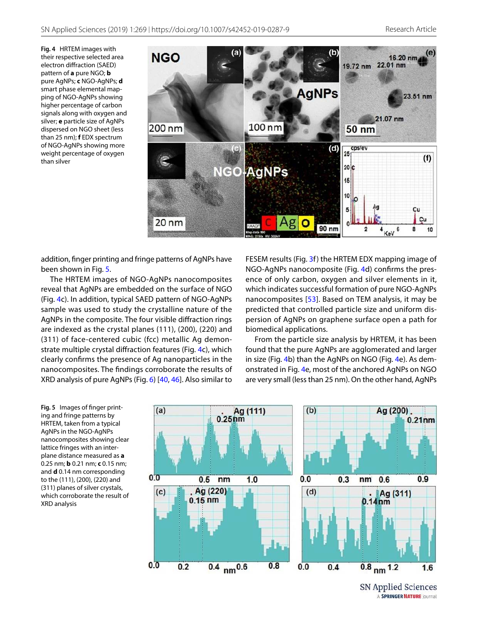<span id="page-8-0"></span>**Fig. 4** HRTEM images with their respective selected area electron diffraction (SAED) pattern of **a** pure NGO; **b** pure AgNPs; **c** NGO-AgNPs; **d** smart phase elemental mapping of NGO-AgNPs showing higher percentage of carbon signals along with oxygen and silver; **e** particle size of AgNPs dispersed on NGO sheet (less than 25 nm); **f** EDX spectrum of NGO-AgNPs showing more weight percentage of oxygen than silver



addition, finger printing and fringe patterns of AgNPs have been shown in Fig. [5.](#page-8-1)

The HRTEM images of NGO-AgNPs nanocomposites reveal that AgNPs are embedded on the surface of NGO (Fig. [4](#page-8-0)c). In addition, typical SAED pattern of NGO-AgNPs sample was used to study the crystalline nature of the AgNPs in the composite. The four visible diffraction rings are indexed as the crystal planes (111), (200), (220) and (311) of face-centered cubic (fcc) metallic Ag demonstrate multiple crystal diffraction features (Fig. [4c](#page-8-0)), which clearly confirms the presence of Ag nanoparticles in the nanocomposites. The findings corroborate the results of XRD analysis of pure AgNPs (Fig. [6](#page-9-0)) [\[40](#page-16-8), [46\]](#page-16-14). Also similar to

FESEM results (Fig. [3f](#page-7-0)) the HRTEM EDX mapping image of NGO-AgNPs nanocomposite (Fig. [4](#page-8-0)d) confirms the presence of only carbon, oxygen and silver elements in it, which indicates successful formation of pure NGO-AgNPs nanocomposites [\[53](#page-16-21)]. Based on TEM analysis, it may be predicted that controlled particle size and uniform dispersion of AgNPs on graphene surface open a path for biomedical applications.

From the particle size analysis by HRTEM, it has been found that the pure AgNPs are agglomerated and larger in size (Fig. [4](#page-8-0)b) than the AgNPs on NGO (Fig. [4e](#page-8-0)). As demonstrated in Fig. [4e](#page-8-0), most of the anchored AgNPs on NGO are very small (less than 25 nm). On the other hand, AgNPs

<span id="page-8-1"></span>**Fig. 5** Images of finger printing and fringe patterns by HRTEM, taken from a typical AgNPs in the NGO-AgNPs nanocomposites showing clear lattice fringes with an interplane distance measured as **a** 0.25 nm; **b** 0.21 nm; **c** 0.15 nm; and **d** 0.14 nm corresponding to the (111), (200), (220) and (311) planes of silver crystals, which corroborate the result of XRD analysis

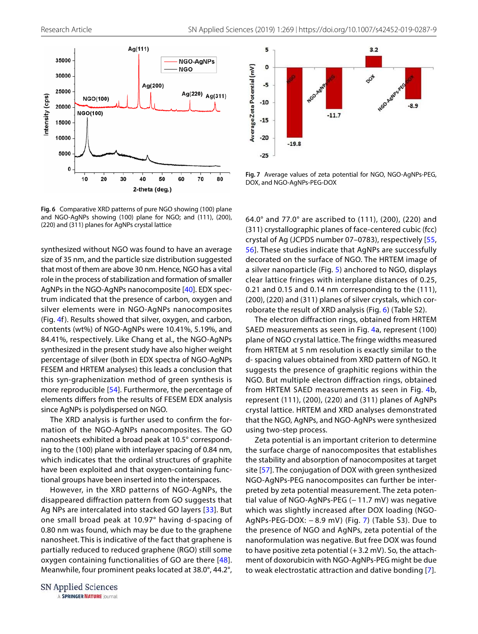

<span id="page-9-0"></span>**Fig. 6** Comparative XRD patterns of pure NGO showing (100) plane and NGO-AgNPs showing (100) plane for NGO; and (111), (200), (220) and (311) planes for AgNPs crystal lattice

synthesized without NGO was found to have an average size of 35 nm, and the particle size distribution suggested that most of them are above 30 nm. Hence, NGO has a vital role in the process of stabilization and formation of smaller AgNPs in the NGO-AgNPs nanocomposite [\[40](#page-16-8)]. EDX spectrum indicated that the presence of carbon, oxygen and silver elements were in NGO-AgNPs nanocomposites (Fig. [4](#page-8-0)f ). Results showed that silver, oxygen, and carbon, contents (wt%) of NGO-AgNPs were 10.41%, 5.19%, and 84.41%, respectively. Like Chang et al., the NGO-AgNPs synthesized in the present study have also higher weight percentage of silver (both in EDX spectra of NGO-AgNPs FESEM and HRTEM analyses) this leads a conclusion that this syn-graphenization method of green synthesis is more reproducible [\[54\]](#page-16-22). Furthermore, the percentage of elements differs from the results of FESEM EDX analysis since AgNPs is polydispersed on NGO.

The XRD analysis is further used to confirm the formation of the NGO-AgNPs nanocomposites. The GO nanosheets exhibited a broad peak at 10.5° corresponding to the (100) plane with interlayer spacing of 0.84 nm, which indicates that the ordinal structures of graphite have been exploited and that oxygen-containing functional groups have been inserted into the interspaces.

However, in the XRD patterns of NGO-AgNPs, the disappeared diffraction pattern from GO suggests that Ag NPs are intercalated into stacked GO layers [[33\]](#page-16-1). But one small broad peak at 10.97° having d-spacing of 0.80 nm was found, which may be due to the graphene nanosheet. This is indicative of the fact that graphene is partially reduced to reduced graphene (RGO) still some oxygen containing functionalities of GO are there [\[48](#page-16-16)]. Meanwhile, four prominent peaks located at 38.0°, 44.2°,



<span id="page-9-1"></span>**Fig. 7** Average values of zeta potential for NGO, NGO-AgNPs-PEG, DOX, and NGO-AgNPs-PEG-DOX

64.0° and 77.0° are ascribed to (111), (200), (220) and (311) crystallographic planes of face-centered cubic (fcc) crystal of Ag (JCPDS number 07–0783), respectively [[55](#page-16-23), [56\]](#page-16-24). These studies indicate that AgNPs are successfully decorated on the surface of NGO. The HRTEM image of a silver nanoparticle (Fig. [5](#page-8-1)) anchored to NGO, displays clear lattice fringes with interplane distances of 0.25, 0.21 and 0.15 and 0.14 nm corresponding to the (111), (200), (220) and (311) planes of silver crystals, which corroborate the result of XRD analysis (Fig. [6](#page-9-0)) (Table S2).

The electron diffraction rings, obtained from HRTEM SAED measurements as seen in Fig. [4](#page-8-0)a, represent (100) plane of NGO crystal lattice. The fringe widths measured from HRTEM at 5 nm resolution is exactly similar to the d- spacing values obtained from XRD pattern of NGO. It suggests the presence of graphitic regions within the NGO. But multiple electron diffraction rings, obtained from HRTEM SAED measurements as seen in Fig. [4](#page-8-0)b, represent (111), (200), (220) and (311) planes of AgNPs crystal lattice. HRTEM and XRD analyses demonstrated that the NGO, AgNPs, and NGO-AgNPs were synthesized using two-step process.

Zeta potential is an important criterion to determine the surface charge of nanocomposites that establishes the stability and absorption of nanocomposites at target site [[57](#page-16-25)]. The conjugation of DOX with green synthesized NGO-AgNPs-PEG nanocomposites can further be interpreted by zeta potential measurement. The zeta potential value of NGO-AgNPs-PEG (−11.7 mV) was negative which was slightly increased after DOX loading (NGO-AgNPs-PEG-DOX: − 8.9 mV) (Fig. [7\)](#page-9-1) (Table S3). Due to the presence of NGO and AgNPs, zeta potential of the nanoformulation was negative. But free DOX was found to have positive zeta potential (+ 3.2 mV). So, the attachment of doxorubicin with NGO-AgNPs-PEG might be due to weak electrostatic attraction and dative bonding [[7](#page-15-5)].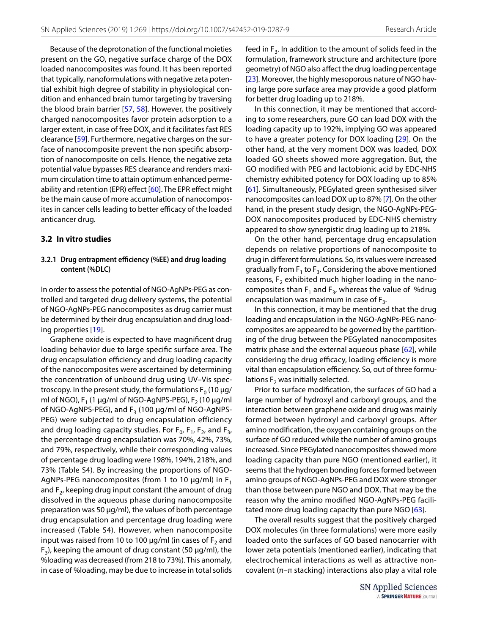Because of the deprotonation of the functional moieties present on the GO, negative surface charge of the DOX loaded nanocomposites was found. It has been reported that typically, nanoformulations with negative zeta potential exhibit high degree of stability in physiological condition and enhanced brain tumor targeting by traversing the blood brain barrier [[57,](#page-16-25) [58\]](#page-16-26). However, the positively charged nanocomposites favor protein adsorption to a larger extent, in case of free DOX, and it facilitates fast RES clearance [[59](#page-16-27)]. Furthermore, negative charges on the surface of nanocomposite prevent the non specific absorption of nanocomposite on cells. Hence, the negative zeta potential value bypasses RES clearance and renders maximum circulation time to attain optimum enhanced perme-ability and retention (EPR) effect [[60\]](#page-16-28). The EPR effect might be the main cause of more accumulation of nanocomposites in cancer cells leading to better efficacy of the loaded anticancer drug.

### **3.2 In vitro studies**

# **3.2.1 Drug entrapment efficiency (%EE) and drug loading content (%DLC)**

In order to assess the potential of NGO-AgNPs-PEG as controlled and targeted drug delivery systems, the potential of NGO-AgNPs-PEG nanocomposites as drug carrier must be determined by their drug encapsulation and drug loading properties [\[19\]](#page-15-16).

Graphene oxide is expected to have magnificent drug loading behavior due to large specific surface area. The drug encapsulation efficiency and drug loading capacity of the nanocomposites were ascertained by determining the concentration of unbound drug using UV–Vis spectroscopy. In the present study, the formulations F $_{\rm 0}$  (10  $\mu$ g/ ml of NGO),  $F_1$  (1  $\mu$ g/ml of NGO-AgNPS-PEG),  $F_2$  (10  $\mu$ g/ml of NGO-AgNPS-PEG), and  $F_3$  (100  $\mu$ g/ml of NGO-AgNPS-PEG) were subjected to drug encapsulation efficiency and drug loading capacity studies. For  $F_0$ ,  $F_1$ ,  $F_2$ , and  $F_3$ , the percentage drug encapsulation was 70%, 42%, 73%, and 79%, respectively, while their corresponding values of percentage drug loading were 198%, 194%, 218%, and 73% (Table S4). By increasing the proportions of NGO-AgNPs-PEG nanocomposites (from 1 to 10  $\mu$ g/ml) in F<sub>1</sub> and  $F_2$ , keeping drug input constant (the amount of drug dissolved in the aqueous phase during nanocomposite preparation was 50 µg/ml), the values of both percentage drug encapsulation and percentage drug loading were increased (Table S4). However, when nanocomposite input was raised from 10 to 100  $\mu$ g/ml (in cases of F<sub>2</sub> and  $F_3$ ), keeping the amount of drug constant (50  $\mu$ g/ml), the %loading was decreased (from 218 to 73%). This anomaly, in case of %loading, may be due to increase in total solids

feed in  $F_3$ . In addition to the amount of solids feed in the formulation, framework structure and architecture (pore geometry) of NGO also affect the drug loading percentage [[23](#page-15-20)]. Moreover, the highly mesoporous nature of NGO having large pore surface area may provide a good platform for better drug loading up to 218%.

In this connection, it may be mentioned that according to some researchers, pure GO can load DOX with the loading capacity up to 192%, implying GO was appeared to have a greater potency for DOX loading [\[29\]](#page-15-26). On the other hand, at the very moment DOX was loaded, DOX loaded GO sheets showed more aggregation. But, the GO modified with PEG and lactobionic acid by EDC-NHS chemistry exhibited potency for DOX loading up to 85% [[61\]](#page-16-29). Simultaneously, PEGylated green synthesised silver nanocomposites can load DOX up to 87% [\[7](#page-15-5)]. On the other hand, in the present study design, the NGO-AgNPs-PEG-DOX nanocomposites produced by EDC-NHS chemistry appeared to show synergistic drug loading up to 218%.

On the other hand, percentage drug encapsulation depends on relative proportions of nanocomposite to drug in different formulations. So, its values were increased gradually from  $F_1$  to  $F_3$ . Considering the above mentioned reasons,  $F_2$  exhibited much higher loading in the nanocomposites than  $F_1$  and  $F_3$ , whereas the value of %drug encapsulation was maximum in case of  $F_3$ .

In this connection, it may be mentioned that the drug loading and encapsulation in the NGO-AgNPs-PEG nanocomposites are appeared to be governed by the partitioning of the drug between the PEGylated nanocomposites matrix phase and the external aqueous phase [[62\]](#page-17-0), while considering the drug efficacy, loading efficiency is more vital than encapsulation efficiency. So, out of three formulations  $F_2$  was initially selected.

Prior to surface modification, the surfaces of GO had a large number of hydroxyl and carboxyl groups, and the interaction between graphene oxide and drug was mainly formed between hydroxyl and carboxyl groups. After amino modification, the oxygen containing groups on the surface of GO reduced while the number of amino groups increased. Since PEGylated nanocomposites showed more loading capacity than pure NGO (mentioned earlier), it seems that the hydrogen bonding forces formed between amino groups of NGO-AgNPs-PEG and DOX were stronger than those between pure NGO and DOX. That may be the reason why the amino modified NGO-AgNPs-PEG facilitated more drug loading capacity than pure NGO [\[63\]](#page-17-1).

The overall results suggest that the positively charged DOX molecules (in three formulations) were more easily loaded onto the surfaces of GO based nanocarrier with lower zeta potentials (mentioned earlier), indicating that electrochemical interactions as well as attractive noncovalent (π–π stacking) interactions also play a vital role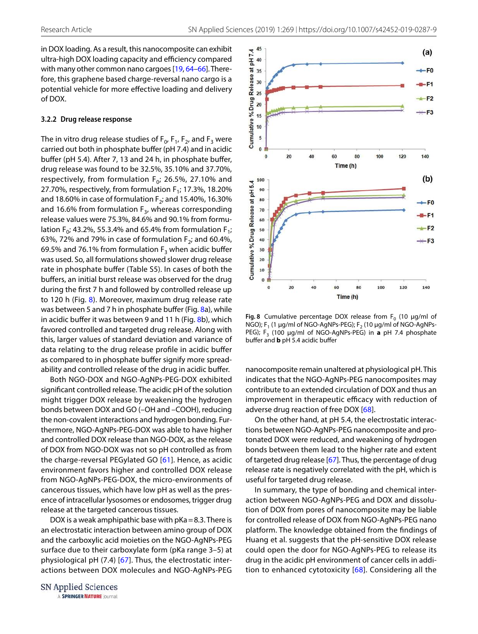in DOX loading. As a result, this nanocomposite can exhibit ultra-high DOX loading capacity and efficiency compared with many other common nano cargoes [[19,](#page-15-16) [64](#page-17-2)[–66\]](#page-17-3). Therefore, this graphene based charge-reversal nano cargo is a potential vehicle for more effective loading and delivery of DOX.

#### **3.2.2 Drug release response**

The in vitro drug release studies of  $F_0$ ,  $F_1$ ,  $F_2$ , and  $F_3$  were carried out both in phosphate buffer (pH 7.4) and in acidic buffer (pH 5.4). After 7, 13 and 24 h, in phosphate buffer, drug release was found to be 32.5%, 35.10% and 37.70%, respectively, from formulation  $F_0$ ; 26.5%, 27.10% and 27.70%, respectively, from formulation  $F_1$ ; 17.3%, 18.20% and 18.60% in case of formulation  $F_2$ ; and 15.40%, 16.30% and 16.6% from formulation  $F_3$ , whereas corresponding release values were 75.3%, 84.6% and 90.1% from formulation F<sub>0</sub>; 43.2%, 55.3.4% and 65.4% from formulation F<sub>1</sub>; 63%, 72% and 79% in case of formulation  $F_{2}$ ; and 60.4%, 69.5% and 76.1% from formulation  $F_3$  when acidic buffer was used. So, all formulations showed slower drug release rate in phosphate buffer (Table S5). In cases of both the buffers, an initial burst release was observed for the drug during the first 7 h and followed by controlled release up to 120 h (Fig. [8\)](#page-11-0). Moreover, maximum drug release rate was between 5 and 7 h in phosphate buffer (Fig. [8a](#page-11-0)), while in acidic buffer it was between 9 and 11 h (Fig. [8b](#page-11-0)), which favored controlled and targeted drug release. Along with this, larger values of standard deviation and variance of data relating to the drug release profile in acidic buffer as compared to in phosphate buffer signify more spreadability and controlled release of the drug in acidic buffer.

Both NGO-DOX and NGO-AgNPs-PEG-DOX exhibited significant controlled release. The acidic pH of the solution might trigger DOX release by weakening the hydrogen bonds between DOX and GO (–OH and –COOH), reducing the non-covalent interactions and hydrogen bonding. Furthermore, NGO-AgNPs-PEG-DOX was able to have higher and controlled DOX release than NGO-DOX, as the release of DOX from NGO-DOX was not so pH controlled as from the charge-reversal PEGylated GO [\[61](#page-16-29)]. Hence, as acidic environment favors higher and controlled DOX release from NGO-AgNPs-PEG-DOX, the micro-environments of cancerous tissues, which have low pH as well as the presence of intracellular lysosomes or endosomes, trigger drug release at the targeted cancerous tissues.

DOX is a weak amphipathic base with  $pKa = 8.3$ . There is an electrostatic interaction between amino group of DOX and the carboxylic acid moieties on the NGO-AgNPs-PEG surface due to their carboxylate form (pKa range 3–5) at physiological pH (7.4) [[67\]](#page-17-4). Thus, the electrostatic interactions between DOX molecules and NGO-AgNPs-PEG

SN Applied Sciences A SPRINGER NATURE journal



<span id="page-11-0"></span>**Fig. 8** Cumulative percentage DOX release from  $F_0$  (10  $\mu$ g/ml of NGO);  $F_1$  (1  $\mu$ g/ml of NGO-AgNPs-PEG);  $F_2$  (10  $\mu$ g/ml of NGO-AgNPs-PEG); F<sub>3</sub> (100 µg/ml of NGO-AgNPs-PEG) in a pH 7.4 phosphate buffer and **b** pH 5.4 acidic buffer

nanocomposite remain unaltered at physiological pH. This indicates that the NGO-AgNPs-PEG nanocomposites may contribute to an extended circulation of DOX and thus an improvement in therapeutic efficacy with reduction of adverse drug reaction of free DOX [[68](#page-17-5)].

On the other hand, at pH 5.4, the electrostatic interactions between NGO-AgNPs-PEG nanocomposite and protonated DOX were reduced, and weakening of hydrogen bonds between them lead to the higher rate and extent of targeted drug release [\[67\]](#page-17-4). Thus, the percentage of drug release rate is negatively correlated with the pH, which is useful for targeted drug release.

In summary, the type of bonding and chemical interaction between NGO-AgNPs-PEG and DOX and dissolution of DOX from pores of nanocomposite may be liable for controlled release of DOX from NGO-AgNPs-PEG nano platform. The knowledge obtained from the findings of Huang et al. suggests that the pH-sensitive DOX release could open the door for NGO-AgNPs-PEG to release its drug in the acidic pH environment of cancer cells in addition to enhanced cytotoxicity [[68\]](#page-17-5). Considering all the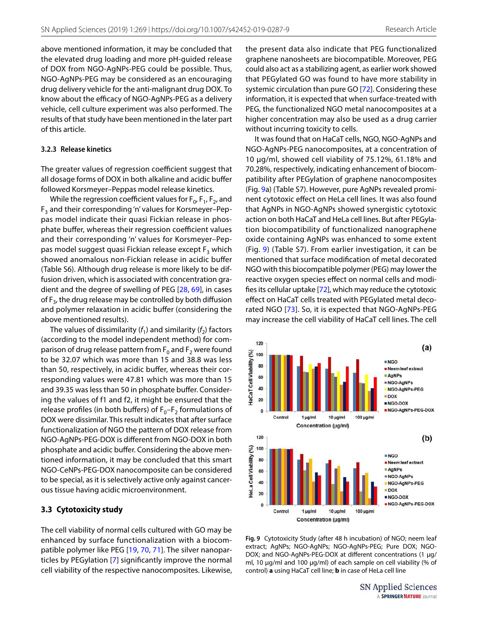above mentioned information, it may be concluded that the elevated drug loading and more pH-guided release of DOX from NGO-AgNPs-PEG could be possible. Thus, NGO-AgNPs-PEG may be considered as an encouraging drug delivery vehicle for the anti-malignant drug DOX. To know about the efficacy of NGO-AgNPs-PEG as a delivery vehicle, cell culture experiment was also performed. The results of that study have been mentioned in the later part of this article.

#### **3.2.3 Release kinetics**

The greater values of regression coefficient suggest that all dosage forms of DOX in both alkaline and acidic buffer followed Korsmeyer–Peppas model release kinetics.

While the regression coefficient values for  $\mathsf{F}_0$ ,  $\mathsf{F}_1$ ,  $\mathsf{F}_2$ , and F<sub>3</sub> and their corresponding 'n' values for Korsmeyer–Peppas model indicate their quasi Fickian release in phosphate buffer, whereas their regression coefficient values and their corresponding 'n' values for Korsmeyer–Peppas model suggest quasi Fickian release except  $\mathsf{F}_3$  which showed anomalous non-Fickian release in acidic buffer (Table S6). Although drug release is more likely to be diffusion driven, which is associated with concentration gradient and the degree of swelling of PEG [[28,](#page-15-25) [69\]](#page-17-6), in cases of  $F_3$ , the drug release may be controlled by both diffusion and polymer relaxation in acidic buffer (considering the above mentioned results).

The values of dissimilarity ( $f_1$ ) and similarity ( $f_2$ ) factors (according to the model independent method) for comparison of drug release pattern from  $F_0$  and  $F_2$  were found to be 32.07 which was more than 15 and 38.8 was less than 50, respectively, in acidic buffer, whereas their corresponding values were 47.81 which was more than 15 and 39.35 was less than 50 in phosphate buffer. Considering the values of f1 and f2, it might be ensured that the release profiles (in both buffers) of  $F_0-F_2$  formulations of DOX were dissimilar. This result indicates that after surface functionalization of NGO the pattern of DOX release from NGO-AgNPs-PEG-DOX is different from NGO-DOX in both phosphate and acidic buffer. Considering the above mentioned information, it may be concluded that this smart NGO-CeNPs-PEG-DOX nanocomposite can be considered to be special, as it is selectively active only against cancerous tissue having acidic microenvironment.

#### **3.3 Cytotoxicity study**

The cell viability of normal cells cultured with GO may be enhanced by surface functionalization with a biocom-patible polymer like PEG [\[19,](#page-15-16) [70,](#page-17-7) [71\]](#page-17-8). The silver nanoparticles by PEGylation [[7](#page-15-5)] significantly improve the normal cell viability of the respective nanocomposites. Likewise, the present data also indicate that PEG functionalized graphene nanosheets are biocompatible. Moreover, PEG could also act as a stabilizing agent, as earlier work showed that PEGylated GO was found to have more stability in systemic circulation than pure GO [\[72\]](#page-17-9). Considering these information, it is expected that when surface-treated with PEG, the functionalized NGO metal nanocomposites at a higher concentration may also be used as a drug carrier without incurring toxicity to cells.

It was found that on HaCaT cells, NGO, NGO-AgNPs and NGO-AgNPs-PEG nanocomposites, at a concentration of 10 μg/ml, showed cell viability of 75.12%, 61.18% and 70.28%, respectively, indicating enhancement of biocompatibility after PEGylation of graphene nanocomposites (Fig. [9a](#page-12-0)) (Table S7). However, pure AgNPs revealed prominent cytotoxic effect on HeLa cell lines. It was also found that AgNPs in NGO-AgNPs showed synergistic cytotoxic action on both HaCaT and HeLa cell lines. But after PEGylation biocompatibility of functionalized nanographene oxide containing AgNPs was enhanced to some extent (Fig. [9\)](#page-12-0) (Table S7). From earlier investigation, it can be mentioned that surface modification of metal decorated NGO with this biocompatible polymer (PEG) may lower the reactive oxygen species effect on normal cells and modifies its cellular uptake [[72](#page-17-9)], which may reduce the cytotoxic effect on HaCaT cells treated with PEGylated metal decorated NGO [[73](#page-17-10)]. So, it is expected that NGO-AgNPs-PEG may increase the cell viability of HaCaT cell lines. The cell



<span id="page-12-0"></span>**Fig. 9** Cytotoxicity Study (after 48 h incubation) of NGO; neem leaf extract; AgNPs; NGO-AgNPs; NGO-AgNPs-PEG; Pure DOX; NGO-DOX; and NGO-AgNPs-PEG-DOX at different concentrations (1 µg/ ml, 10 µg/ml and 100 µg/ml) of each sample on cell viability (% of control) **a** using HaCaT cell line; **b** in case of HeLa cell line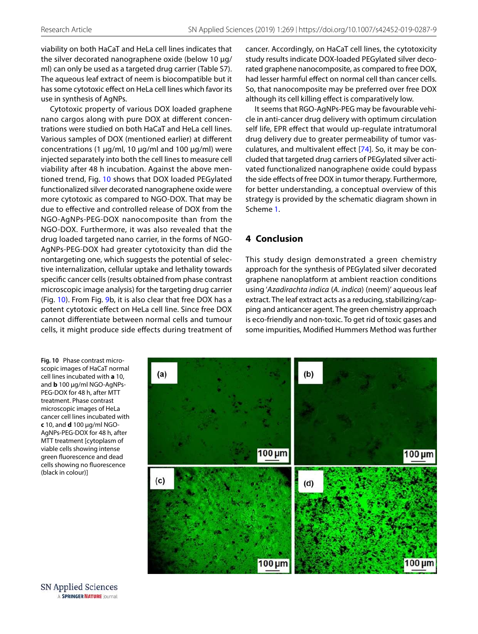viability on both HaCaT and HeLa cell lines indicates that the silver decorated nanographene oxide (below 10 μg/ ml) can only be used as a targeted drug carrier (Table S7). The aqueous leaf extract of neem is biocompatible but it has some cytotoxic effect on HeLa cell lines which favor its use in synthesis of AgNPs.

Cytotoxic property of various DOX loaded graphene nano cargos along with pure DOX at different concentrations were studied on both HaCaT and HeLa cell lines. Various samples of DOX (mentioned earlier) at different concentrations (1  $\mu$ g/ml, 10  $\mu$ g/ml and 100  $\mu$ g/ml) were injected separately into both the cell lines to measure cell viability after 48 h incubation. Against the above mentioned trend, Fig. [10](#page-13-0) shows that DOX loaded PEGylated functionalized silver decorated nanographene oxide were more cytotoxic as compared to NGO-DOX. That may be due to effective and controlled release of DOX from the NGO-AgNPs-PEG-DOX nanocomposite than from the NGO-DOX. Furthermore, it was also revealed that the drug loaded targeted nano carrier, in the forms of NGO-AgNPs-PEG-DOX had greater cytotoxicity than did the nontargeting one, which suggests the potential of selective internalization, cellular uptake and lethality towards specific cancer cells (results obtained from phase contrast microscopic image analysis) for the targeting drug carrier (Fig. [10\)](#page-13-0). From Fig. [9b](#page-12-0), it is also clear that free DOX has a potent cytotoxic effect on HeLa cell line. Since free DOX cannot differentiate between normal cells and tumour cells, it might produce side effects during treatment of cancer. Accordingly, on HaCaT cell lines, the cytotoxicity study results indicate DOX-loaded PEGylated silver decorated graphene nanocomposite, as compared to free DOX, had lesser harmful effect on normal cell than cancer cells. So, that nanocomposite may be preferred over free DOX although its cell killing effect is comparatively low.

It seems that RGO-AgNPs-PEG may be favourable vehicle in anti-cancer drug delivery with optimum circulation self life, EPR effect that would up-regulate intratumoral drug delivery due to greater permeability of tumor vasculatures, and multivalent effect [[74](#page-17-11)]. So, it may be concluded that targeted drug carriers of PEGylated silver activated functionalized nanographene oxide could bypass the side effects of free DOX in tumor therapy. Furthermore, for better understanding, a conceptual overview of this strategy is provided by the schematic diagram shown in Scheme [1.](#page-14-0)

# **4 Conclusion**

This study design demonstrated a green chemistry approach for the synthesis of PEGylated silver decorated graphene nanoplatform at ambient reaction conditions using 'Azadirachta indica (A. indica) (neem)' aqueous leaf extract. The leaf extract acts as a reducing, stabilizing/capping and anticancer agent. The green chemistry approach is eco-friendly and non-toxic. To get rid of toxic gases and some impurities, Modified Hummers Method was further

<span id="page-13-0"></span>**Fig. 10** Phase contrast microscopic images of HaCaT normal cell lines incubated with **a** 10, and **b** 100 μg/ml NGO-AgNPs-PEG-DOX for 48 h, after MTT treatment. Phase contrast microscopic images of HeLa cancer cell lines incubated with **c** 10, and **d** 100 μg/ml NGO-AgNPs-PEG-DOX for 48 h, after MTT treatment [cytoplasm of viable cells showing intense green fluorescence and dead cells showing no fluorescence (black in colour)]

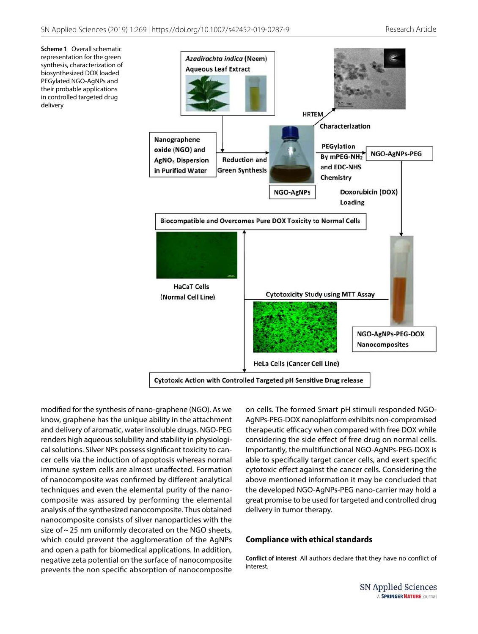<span id="page-14-0"></span>**Scheme 1** Overall schematic representation for the green Azadirachta indica (Neem) synthesis, characterization of **Aqueous Leaf Extract** biosynthesized DOX loaded PEGylated NGO-AgNPs and their probable applications in controlled targeted drug delivery**HRTEM** Characterization Nanographene **PEGvlation** oxide (NGO) and NGO-AgNPs-PEG By mPEG-NH<sub>2</sub> **Reduction and AgNO<sub>3</sub>** Dispersion and EDC-NHS in Purified Water **Green Synthesis** Chemistry Doxorubicin (DOX) NGO-AgNPs Loading **Biocompatible and Overcomes Pure DOX Toxicity to Normal Cells HaCaT Cells Cytotoxicity Study using MTT Assay** (Normal Cell Line) NGO-AgNPs-PEG-DOX Nanocomposites **HeLa Cells (Cancer Cell Line)** Cytotoxic Action with Controlled Targeted pH Sensitive Drug release

modified for the synthesis of nano-graphene (NGO). As we know, graphene has the unique ability in the attachment and delivery of aromatic, water insoluble drugs. NGO-PEG renders high aqueous solubility and stability in physiological solutions. Silver NPs possess significant toxicity to cancer cells via the induction of apoptosis whereas normal immune system cells are almost unaffected. Formation of nanocomposite was confirmed by different analytical techniques and even the elemental purity of the nanocomposite was assured by performing the elemental analysis of the synthesized nanocomposite. Thus obtained nanocomposite consists of silver nanoparticles with the size of  $\sim$  25 nm uniformly decorated on the NGO sheets, which could prevent the agglomeration of the AgNPs and open a path for biomedical applications. In addition, negative zeta potential on the surface of nanocomposite prevents the non specific absorption of nanocomposite

on cells. The formed Smart pH stimuli responded NGO-AgNPs-PEG-DOX nanoplatform exhibits non-compromised therapeutic efficacy when compared with free DOX while considering the side effect of free drug on normal cells. Importantly, the multifunctional NGO-AgNPs-PEG-DOX is able to specifically target cancer cells, and exert specific cytotoxic effect against the cancer cells. Considering the above mentioned information it may be concluded that the developed NGO-AgNPs-PEG nano-carrier may hold a great promise to be used for targeted and controlled drug delivery in tumor therapy.

# **Compliance with ethical standards**

**Conflict of interest** All authors declare that they have no conflict of interest.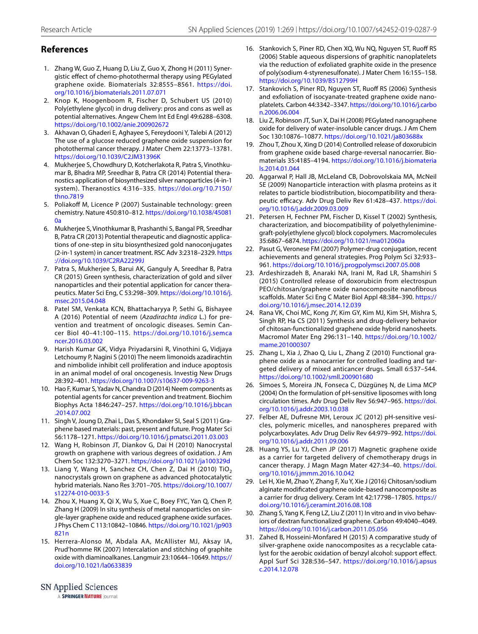# **References**

- <span id="page-15-0"></span> 1. Zhang W, Guo Z, Huang D, Liu Z, Guo X, Zhong H (2011) Synergistic effect of chemo-photothermal therapy using PEGylated graphene oxide. Biomaterials 32:8555-8561. https://doi. org/10.1016/j.biomaterials.2011.07.071
- <span id="page-15-1"></span> 2. Knop K, Hoogenboom R, Fischer D, Schubert US (2010) Poly(ethylene glycol) in drug delivery: pros and cons as well as potential alternatives. Angew Chem Int Ed Engl 49:6288–6308. [https ://doi.org/10.1002/anie.20090 2672](https://doi.org/10.1002/anie.200902672)
- <span id="page-15-2"></span> 3. Akhavan O, Ghaderi E, Aghayee S, Fereydooni Y, Talebi A (2012) The use of a glucose reduced graphene oxide suspension for photothermal cancer therapy. J Mater Chem 22:13773–13781. [https ://doi.org/10.1039/C2JM3 1396K](https://doi.org/10.1039/C2JM31396K)
- 4. Mukherjee S, Chowdhury D, Kotcherlakota R, Patra S, Vinothkumar B, Bhadra MP, Sreedhar B, Patra CR (2014) Potential theranostics application of biosynthesized silver nanoparticles (4-in-1 system). Theranostics 4:316–335. [https ://doi.org/10.7150/](https://doi.org/10.7150/thno.7819) [thno.7819](https://doi.org/10.7150/thno.7819)
- <span id="page-15-3"></span> 5. Poliakoff M, Licence P (2007) Sustainable technology: green chemistry. Nature 450:810–812. [https ://doi.org/10.1038/45081](https://doi.org/10.1038/450810a) [0a](https://doi.org/10.1038/450810a)
- <span id="page-15-4"></span> 6. Mukherjee S, Vinothkumar B, Prashanthi S, Bangal PR, Sreedhar B, Patra CR (2013) Potential therapeutic and diagnostic applications of one-step in situ biosynthesized gold nanoconjugates (2-in-1 system) in cancer treatment. RSC Adv 3:2318–2329. [https](https://doi.org/10.1039/C2RA22299J) [://doi.org/10.1039/C2RA2 2299J](https://doi.org/10.1039/C2RA22299J)
- <span id="page-15-5"></span> 7. Patra S, Mukherjee S, Barui AK, Ganguly A, Sreedhar B, Patra CR (2015) Green synthesis, characterization of gold and silver nanoparticles and their potential application for cancer therapeutics. Mater Sci Eng, C 53:298–309. [https ://doi.org/10.1016/j.](https://doi.org/10.1016/j.msec.2015.04.048) [msec.2015.04.048](https://doi.org/10.1016/j.msec.2015.04.048)
- <span id="page-15-6"></span> 8. Patel SM, Venkata KCN, Bhattacharyya P, Sethi G, Bishayee A (2016) Potential of neem (Azadirachta indica L.) for prevention and treatment of oncologic diseases. Semin Cancer Biol 40–41:100–115. [https ://doi.org/10.1016/j.semca](https://doi.org/10.1016/j.semcancer.2016.03.002) [ncer.2016.03.002](https://doi.org/10.1016/j.semcancer.2016.03.002)
- 9. Harish Kumar GK, Vidya Priyadarsini R, Vinothini G, Vidjaya Letchoumy P, Nagini S (2010) The neem limonoids azadirachtin and nimbolide inhibit cell proliferation and induce apoptosis in an animal model of oral oncogenesis. Investig New Drugs 28:392-401. https://doi.org/10.1007/s10637-009-9263-3
- <span id="page-15-7"></span> 10. Hao F, Kumar S, Yadav N, Chandra D (2014) Neem components as potential agents for cancer prevention and treatment. Biochim Biophys Acta 1846:247–257. [https ://doi.org/10.1016/j.bbcan](https://doi.org/10.1016/j.bbcan.2014.07.002) [.2014.07.002](https://doi.org/10.1016/j.bbcan.2014.07.002)
- <span id="page-15-8"></span> 11. Singh V, Joung D, Zhai L, Das S, Khondaker SI, Seal S (2011) Graphene based materials: past, present and future. Prog Mater Sci 56:1178–1271. [https ://doi.org/10.1016/j.pmats ci.2011.03.003](https://doi.org/10.1016/j.pmatsci.2011.03.003)
- <span id="page-15-9"></span> 12. Wang H, Robinson JT, Diankov G, Dai H (2010) Nanocrystal growth on graphene with various degrees of oxidation. J Am Chem Soc 132:3270–3271. [https ://doi.org/10.1021/ja100 329d](https://doi.org/10.1021/ja100329d)
- <span id="page-15-10"></span>13. Liang Y, Wang H, Sanchez CH, Chen Z, Dai H (2010) TiO<sub>2</sub> nanocrystals grown on graphene as advanced photocatalytic hybrid materials. Nano Res 3:701-705. https://doi.org/10.1007/ s12274-010-0033-5
- <span id="page-15-11"></span> 14. Zhou X, Huang X, Qi X, Wu S, Xue C, Boey FYC, Yan Q, Chen P, Zhang H (2009) In situ synthesis of metal nanoparticles on single-layer graphene oxide and reduced graphene oxide surfaces. J Phys Chem C 113:10842–10846. [https ://doi.org/10.1021/jp903](https://doi.org/10.1021/jp903821n) [821n](https://doi.org/10.1021/jp903821n)
- <span id="page-15-12"></span> 15. Herrera-Alonso M, Abdala AA, McAllister MJ, Aksay IA, Prud'homme RK (2007) Intercalation and stitching of graphite oxide with diaminoalkanes. Langmuir 23:10644-10649. https:// [doi.org/10.1021/la063 3839](https://doi.org/10.1021/la0633839)
- <span id="page-15-13"></span> 16. Stankovich S, Piner RD, Chen XQ, Wu NQ, Nguyen ST, Ruoff RS (2006) Stable aqueous dispersions of graphitic nanoplatelets via the reduction of exfoliated graphite oxide in the presence of poly(sodium 4-styrenesulfonate). J Mater Chem 16:155–158. [https ://doi.org/10.1039/B5127 99H](https://doi.org/10.1039/B512799H)
- <span id="page-15-14"></span> 17. Stankovich S, Piner RD, Nguyen ST, Ruoff RS (2006) Synthesis and exfoliation of isocyanate-treated graphene oxide nanoplatelets. Carbon 44:3342–3347. [https ://doi.org/10.1016/j.carbo](https://doi.org/10.1016/j.carbon.2006.06.004) [n.2006.06.004](https://doi.org/10.1016/j.carbon.2006.06.004)
- <span id="page-15-15"></span> 18. Liu Z, Robinson JT, Sun X, Dai H (2008) PEGylated nanographene oxide for delivery of water-insoluble cancer drugs. J Am Chem Soc 130:10876-10877. https://doi.org/10.1021/ja803688x
- <span id="page-15-16"></span> 19. Zhou T, Zhou X, Xing D (2014) Controlled release of doxorubicin from graphene oxide based charge-reversal nanocarrier. Biomaterials 35:4185–4194. [https ://doi.org/10.1016/j.bioma teria](https://doi.org/10.1016/j.biomaterials.2014.01.044) [ls.2014.01.044](https://doi.org/10.1016/j.biomaterials.2014.01.044)
- <span id="page-15-17"></span> 20. Aggarwal P, Hall JB, McLeland CB, Dobrovolskaia MA, McNeil SE (2009) Nanoparticle interaction with plasma proteins as it relates to particle biodistribution, biocompatibility and therapeutic efficacy. Adv Drug Deliv Rev 61:428-437. https://doi. [org/10.1016/j.addr.2009.03.009](https://doi.org/10.1016/j.addr.2009.03.009)
- <span id="page-15-18"></span> 21. Petersen H, Fechner PM, Fischer D, Kissel T (2002) Synthesis, characterization, and biocompatibility of polyethyleniminegraft-poly(ethylene glycol) block copolymers. Macromolecules 35:6867–6874. [https ://doi.org/10.1021/ma012 060a](https://doi.org/10.1021/ma012060a)
- <span id="page-15-19"></span> 22. Pasut G, Veronese FM (2007) Polymer-drug conjugation, recent achievements and general strategies. Prog Polym Sci 32:933– 961. https://doi.org/10.1016/j.progpolymsci.2007.05.008
- <span id="page-15-20"></span> 23. Ardeshirzadeh B, Anaraki NA, Irani M, Rad LR, Shamshiri S (2015) Controlled release of doxorubicin from electrospun PEO/chitosan/graphene oxide nanocomposite nanofibrous scaffolds. Mater Sci Eng C Mater Biol Appl 48:384-390. https:// [doi.org/10.1016/j.msec.2014.12.039](https://doi.org/10.1016/j.msec.2014.12.039)
- <span id="page-15-21"></span> 24. Rana VK, Choi MC, Kong JY, Kim GY, Kim MJ, Kim SH, Mishra S, Singh RP, Ha CS (2011) Synthesis and drug-delivery behavior of chitosan-functionalized graphene oxide hybrid nanosheets. Macromol Mater Eng 296:131–140. [https ://doi.org/10.1002/](https://doi.org/10.1002/mame.201000307) mame.201000307
- <span id="page-15-22"></span> 25. Zhang L, Xia J, Zhao Q, Liu L, Zhang Z (2010) Functional graphene oxide as a nanocarrier for controlled loading and targeted delivery of mixed anticancer drugs. Small 6:537–544. [https ://doi.org/10.1002/smll.20090 1680](https://doi.org/10.1002/smll.200901680)
- <span id="page-15-23"></span> 26. Simoes S, Moreira JN, Fonseca C, Düzgüneş N, de Lima MCP (2004) On the formulation of pH-sensitive liposomes with long circulation times. Adv Drug Deliv Rev 56:947-965. https://doi. [org/10.1016/j.addr.2003.10.038](https://doi.org/10.1016/j.addr.2003.10.038)
- <span id="page-15-24"></span> 27. Felber AE, Dufresne MH, Leroux JC (2012) pH-sensitive vesicles, polymeric micelles, and nanospheres prepared with polycarboxylates. Adv Drug Deliv Rev 64:979-992. https://doi. [org/10.1016/j.addr.2011.09.006](https://doi.org/10.1016/j.addr.2011.09.006)
- <span id="page-15-25"></span> 28. Huang YS, Lu YJ, Chen JP (2017) Magnetic graphene oxide as a carrier for targeted delivery of chemotherapy drugs in cancer therapy. J Magn Magn Mater 427:34-40. https://doi. [org/10.1016/j.jmmm.2016.10.042](https://doi.org/10.1016/j.jmmm.2016.10.042)
- <span id="page-15-26"></span> 29. Lei H, Xie M, Zhao Y, Zhang F, Xu Y, Xie J (2016) Chitosan/sodium alginate modificated graphene oxide-based nanocomposite as a carrier for drug delivery. Ceram Int 42:17798-17805. https:// [doi.org/10.1016/j.ceram int.2016.08.108](https://doi.org/10.1016/j.ceramint.2016.08.108)
- <span id="page-15-27"></span> 30. Zhang S, Yang K, Feng LZ, Liu Z (2011) In vitro and in vivo behaviors of dextran functionalized graphene. Carbon 49:4040–4049. https://doi.org/10.1016/j.carbon.2011.05.056
- <span id="page-15-28"></span> 31. Zahed B, Hosseini-Monfared H (2015) A comparative study of silver-graphene oxide nanocomposites as a recyclable catalyst for the aerobic oxidation of benzyl alcohol: support effect. Appl Surf Sci 328:536–547. [https ://doi.org/10.1016/j.apsus](https://doi.org/10.1016/j.apsusc.2014.12.078) [c.2014.12.078](https://doi.org/10.1016/j.apsusc.2014.12.078)

### SN Applied Sciences

A SPRINGER NATURE journal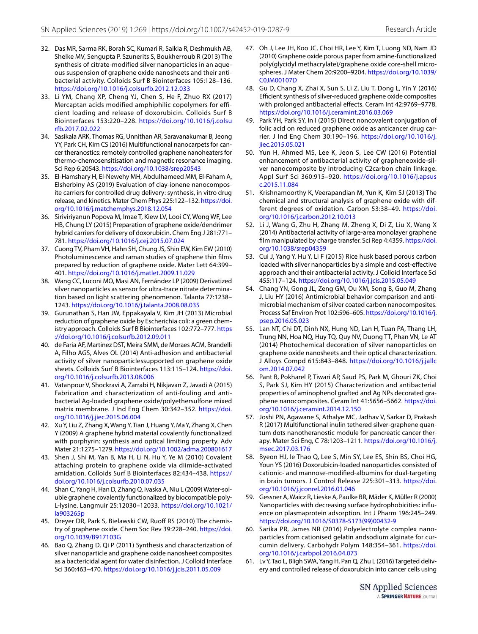- <span id="page-16-0"></span> 32. Das MR, Sarma RK, Borah SC, Kumari R, Saikia R, Deshmukh AB, Shelke MV, Sengupta P, Szunerits S, Boukherroub R (2013) The synthesis of citrate-modified silver nanoparticles in an aqueous suspension of graphene oxide nanosheets and their antibacterial activity. Colloids Surf B Biointerfaces 105:128–136. https://doi.org/10.1016/j.colsurfb.2012.12.033
- <span id="page-16-1"></span> 33. Li YM, Chang XP, Cheng YJ, Chen S, He F, Zhuo RX (2017) Mercaptan acids modified amphiphilic copolymers for efficient loading and release of doxorubicin. Colloids Surf B Biointerfaces 153:220–228. [https ://doi.org/10.1016/j.colsu](https://doi.org/10.1016/j.colsurfb.2017.02.022) [rfb.2017.02.022](https://doi.org/10.1016/j.colsurfb.2017.02.022)
- <span id="page-16-2"></span> 34. Sasikala ARK, Thomas RG, Unnithan AR, Saravanakumar B, Jeong YY, Park CH, Kim CS (2016) Multifunctional nanocarpets for cancer theranostics: remotely controlled graphene nanoheaters for thermo-chemosensitisation and magnetic resonance imaging. Sci Rep 6:20543. https://doi.org/10.1038/srep20543
- <span id="page-16-3"></span> 35. El-Hamshary H, El-Newehy MH, Abdulhameed MM, El-Faham A, Elsherbiny AS (2019) Evaluation of clay-ionene nanocomposite carriers for controlled drug delivery: synthesis, in vitro drug release, and kinetics. Mater Chem Phys 225:122-132. https://doi. org/10.1016/j.matchemphys.2018.12.054
- <span id="page-16-4"></span> 36. Siriviriyanun Popova M, Imae T, Kiew LV, Looi CY, Wong WF, Lee HB, Chung LY (2015) Preparation of graphene oxide/dendrimer hybrid carriers for delivery of doxorubicin. Chem Eng J 281:771– 781. [https ://doi.org/10.1016/j.cej.2015.07.024](https://doi.org/10.1016/j.cej.2015.07.024)
- <span id="page-16-5"></span> 37. Cuong TV, Pham VH, Hahn SH, Chung JS, Shin EW, Kim EW (2010) Photoluminescence and raman studies of graphene thin films prepared by reduction of graphene oxide. Mater Lett 64:399– 401. https://doi.org/10.1016/j.matlet.2009.11.029
- <span id="page-16-6"></span> 38. Wang CC, Luconi MO, Masi AN, Fernández LP (2009) Derivatized silver nanoparticles as sensor for ultra-trace nitrate determination based on light scattering phenomenon. Talanta 77:1238– 1243. https://doi.org/10.1016/j.talanta.2008.08.035
- <span id="page-16-7"></span> 39. Gurunathan S, Han JW, Eppakayala V, Kim JH (2013) Microbial reduction of graphene oxide by Escherichia coli: a green chemistry approach. Colloids Surf B Biointerfaces 102:772–777. [https](https://doi.org/10.1016/j.colsurfb.2012.09.011) [://doi.org/10.1016/j.colsu rfb.2012.09.011](https://doi.org/10.1016/j.colsurfb.2012.09.011)
- <span id="page-16-8"></span> 40. de Faria AF, Martinez DST, Meira SMM, de Moraes ACM, Brandelli A, Filho AGS, Alves OL (2014) Anti-adhesion and antibacterial activity of silver nanoparticlessupported on graphene oxide sheets. Colloids Surf B Biointerfaces 113:115-124. https://doi. org/10.1016/j.colsurfb.2013.08.006
- <span id="page-16-9"></span> 41. Vatanpour V, Shockravi A, Zarrabi H, Nikjavan Z, Javadi A (2015) Fabrication and characterization of anti-fouling and antibacterial Ag-loaded graphene oxide/polyethersulfone mixed matrix membrane. J Ind Eng Chem 30:342-352. https://doi. [org/10.1016/j.jiec.2015.06.004](https://doi.org/10.1016/j.jiec.2015.06.004)
- <span id="page-16-10"></span> 42. Xu Y, Liu Z, Zhang X, Wang Y, Tian J, Huang Y, Ma Y, Zhang X, Chen Y (2009) A graphene hybrid material covalently functionalized with porphyrin: synthesis and optical limiting property. Adv Mater 21:1275-1279. https://doi.org/10.1002/adma.200801617
- <span id="page-16-11"></span> 43. Shen J, Shi M, Yan B, Ma H, Li N, Hu Y, Ye M (2010) Covalent attaching protein to graphene oxide via diimide-activated amidation. Colloids Surf B Biointerfaces 82:434-438. https:// doi.org/10.1016/j.colsurfb.2010.07.035
- <span id="page-16-12"></span> 44. Shan C, Yang H, Han D, Zhang Q, Ivaska A, Niu L (2009) Water-soluble graphene covalently functionalized by biocompatible poly-L-lysine. Langmuir 25:12030–12033. [https ://doi.org/10.1021/](https://doi.org/10.1021/la903265p) [la903 265p](https://doi.org/10.1021/la903265p)
- <span id="page-16-13"></span> 45. Dreyer DR, Park S, Bielawski CW, Ruoff RS (2010) The chemistry of graphene oxide. Chem Soc Rev 39:228-240. https://doi. org/10.1039/B917103G
- <span id="page-16-14"></span> 46. Bao Q, Zhang D, Qi P (2011) Synthesis and characterization of silver nanoparticle and graphene oxide nanosheet composites as a bactericidal agent for water disinfection. J Colloid Interface Sci 360:463–470. [https ://doi.org/10.1016/j.jcis.2011.05.009](https://doi.org/10.1016/j.jcis.2011.05.009)
- <span id="page-16-15"></span> 47. Oh J, Lee JH, Koo JC, Choi HR, Lee Y, Kim T, Luong ND, Nam JD (2010) Graphene oxide porous paper from amine-functionalized poly(glycidyl methacrylate)/graphene oxide core-shell microspheres. J Mater Chem 20:9200–9204. [https ://doi.org/10.1039/](https://doi.org/10.1039/C0JM00107D) C0JM00107D
- <span id="page-16-16"></span> 48. Gu D, Chang X, Zhai X, Sun S, Li Z, Liu T, Dong L, Yin Y (2016) Efficient synthesis of silver-reduced graphene oxide composites with prolonged antibacterial effects. Ceram Int 42:9769–9778. https://doi.org/10.1016/j.ceramint.2016.03.069
- <span id="page-16-17"></span> 49. Park YH, Park SY, In I (2015) Direct noncovalent conjugation of folic acid on reduced graphene oxide as anticancer drug carrier. J Ind Eng Chem 30:190–196. [https ://doi.org/10.1016/j.](https://doi.org/10.1016/j.jiec.2015.05.021) [jiec.2015.05.021](https://doi.org/10.1016/j.jiec.2015.05.021)
- <span id="page-16-18"></span> 50. Yun H, Ahmed MS, Lee K, Jeon S, Lee CW (2016) Potential enhancement of antibacterial activity of grapheneoxide-silver nanocomposite by introducing C2carbon chain linkage. Appl Surf Sci 360:915–920. [https ://doi.org/10.1016/j.apsus](https://doi.org/10.1016/j.apsusc.2015.11.084) [c.2015.11.084](https://doi.org/10.1016/j.apsusc.2015.11.084)
- <span id="page-16-19"></span> 51. Krishnamoorthy K, Veerapandian M, Yun K, Kim SJ (2013) The chemical and structural analysis of graphene oxide with different degrees of oxidation. Carbon 53:38-49. https://doi. org/10.1016/j.carbon.2012.10.013
- <span id="page-16-20"></span> 52. Li J, Wang G, Zhu H, Zhang M, Zheng X, Di Z, Liu X, Wang X (2014) Antibacterial activity of large-area monolayer graphene film manipulated by charge transfer. Sci Rep 4:4359. https://doi. org/10.1038/srep04359
- <span id="page-16-21"></span> 53. Cui J, Yang Y, Hu Y, Li F (2015) Rice husk based porous carbon loaded with silver nanoparticles by a simple and cost-effective approach and their antibacterial activity. J Colloid Interface Sci 455:117–124. [https ://doi.org/10.1016/j.jcis.2015.05.049](https://doi.org/10.1016/j.jcis.2015.05.049)
- <span id="page-16-22"></span> 54. Chang YN, Gong JL, Zeng GM, Ou XM, Song B, Guo M, Zhang J, Liu HY (2016) Antimicrobial behavior comparison and antimicrobial mechanism of silver coated carbon nanocomposites. Process Saf Environ Prot 102:596–605. [https ://doi.org/10.1016/j.](https://doi.org/10.1016/j.psep.2016.05.023) [psep.2016.05.023](https://doi.org/10.1016/j.psep.2016.05.023)
- <span id="page-16-23"></span> 55. Lan NT, Chi DT, Dinh NX, Hung ND, Lan H, Tuan PA, Thang LH, Trung NN, Hoa NQ, Huy TQ, Quy NV, Duong TT, Phan VN, Le AT (2014) Photochemical decoration of silver nanoparticles on graphene oxide nanosheets and their optical characterization. J Alloys Compd 615:843–848. [https ://doi.org/10.1016/j.jallc](https://doi.org/10.1016/j.jallcom.2014.07.042) [om.2014.07.042](https://doi.org/10.1016/j.jallcom.2014.07.042)
- <span id="page-16-24"></span> 56. Pant B, Pokharel P, Tiwari AP, Saud PS, Park M, Ghouri ZK, Choi S, Park SJ, Kim HY (2015) Characterization and antibacterial properties of aminophenol grafted and Ag NPs decorated graphene nanocomposites. Ceram Int 41:5656-5662. https://doi. org/10.1016/j.ceramint.2014.12.150
- <span id="page-16-25"></span> 57. Joshi PN, Agawane S, Athalye MC, Jadhav V, Sarkar D, Prakash R (2017) Multifunctional inulin tethered silver-graphene quantum dots nanotheranostic module for pancreatic cancer therapy. Mater Sci Eng, C 78:1203–1211. [https ://doi.org/10.1016/j.](https://doi.org/10.1016/j.msec.2017.03.176) [msec.2017.03.176](https://doi.org/10.1016/j.msec.2017.03.176)
- <span id="page-16-26"></span> 58. Byeon HJ, le Thao Q, Lee S, Min SY, Lee ES, Shin BS, Choi HG, Youn YS (2016) Doxorubicin-loaded nanoparticles consisted of cationic- and mannose-modified-albumins for dual-targeting in brain tumors. J Control Release 225:301-313. https://doi. org/10.1016/j.jconrel.2016.01.046
- <span id="page-16-27"></span> 59. Gessner A, Waicz R, Lieske A, Paulke BR, Mäder K, Müller R (2000) Nanoparticles with decreasing surface hydrophobicities: influence on plasmaprotein adsorption. Int J Pharm 196:245–249. [https ://doi.org/10.1016/S0378 -5173\(99\)00432 -9](https://doi.org/10.1016/S0378-5173(99)00432-9)
- <span id="page-16-28"></span> 60. Sarika PR, James NR (2016) Polyelectrolyte complex nanoparticles from cationised gelatin andsodium alginate for curcumin delivery. Carbohydr Polym 148:354-361. https://doi. org/10.1016/j.carbpol.2016.04.073
- <span id="page-16-29"></span> 61. Lv Y, Tao L, Bligh SWA, Yang H, Pan Q, Zhu L (2016) Targeted delivery and controlled release of doxorubicin into cancer cells using